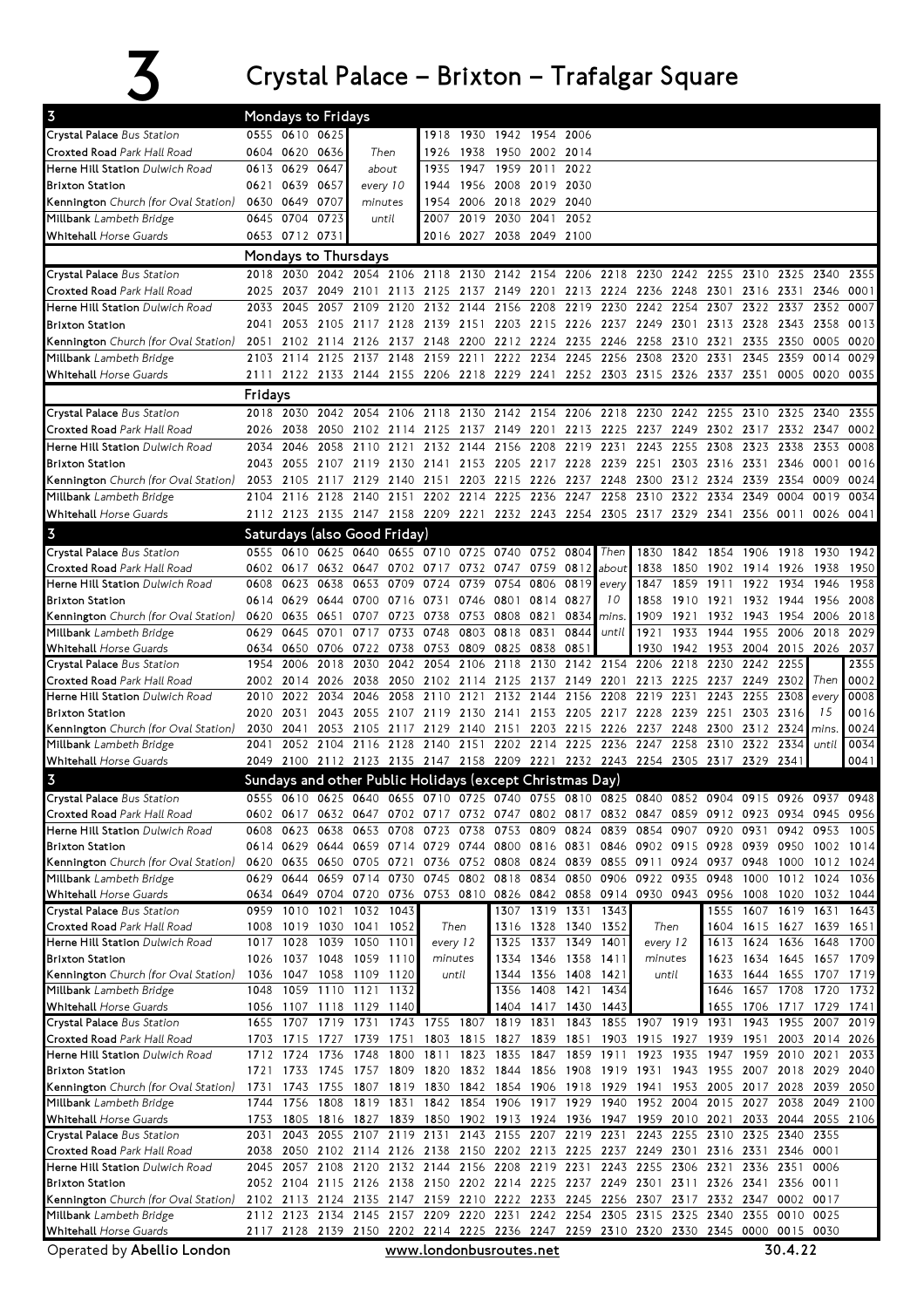## $\overline{3}$  Crystal Palace – Brixton – Trafalgar Square

| 0555 0610 0625<br>Crystal Palace Bus Station<br>1918<br>1930 1942 1954<br>2006<br>0604 0620 0636<br>Croxted Road Park Hall Road<br>Then<br>1926<br>1938<br>1950 2002<br>2014<br>0613 0629<br>0647<br>1947<br>1959<br>2011<br>2022<br><b>Herne Hill Station Dulwich Road</b><br>1935<br>about<br>0639 0657<br>1956<br>2008 2019<br>2030<br><b>Brixton Station</b><br>every 10<br>0621<br>1944<br>0649 0707<br>2018 2029<br>2040<br>Kennington Church (for Oval Station)<br>0630<br>1954<br>2006<br>minutes<br>0645 0704<br>2007 2019<br>2030 2041<br>0723<br>2052<br>Millbank Lambeth Bridge<br>until<br>0653 0712 0731<br>2016 2027 2038 2049 2100<br><b>Whitehall</b> Horse Guards<br>Mondays to Thursdays<br>2118<br>2142 2154<br>2206<br>2218<br>2230<br>2242<br>2255<br>Crystal Palace Bus Station<br>2030<br>2042<br>2054<br>2106<br>2130<br>2310<br>2325<br>2340<br>2355<br>2018<br>Croxted Road Park Hall Road<br>2025 2037<br>2049<br>2101 2113 2125<br>2137 2149 2201 2213 2224 2236 2248<br>2301 2316 2331<br>2346<br>0001<br>Herne Hill Station Dulwich Road<br>2045<br>2057 2109<br>2120<br>2132<br>2144<br>2156 2208<br>2219 2230<br>2242<br>2254<br>2307<br>2322 2337<br>2352<br>0007<br>2033<br>2053 2105<br>2128 2139 2151<br>2203 2215<br>2226 2237 2249<br>2313 2328 2343<br>0013<br>2041<br>2117<br>2301<br>2358<br><b>Brixton Station</b><br>2137 2148<br>2212 2224<br>2235<br>2258<br>2335<br>2350<br>0020<br>Kennington Church (for Oval Station)<br>2051<br>2102 2114<br>2126<br>2200<br>2246<br>2310<br>2321<br>0005<br>2125<br>2137<br>2159<br>2211<br>2222 2234<br>2245<br>2256<br>2308<br>2320<br>2331<br>2345<br>2359<br>2103<br>2114<br>2148<br>0014<br>0029<br>Millbank Lambeth Bridge<br><b>Whitehall Horse Guards</b><br>2111 2122 2133 2144 2155 2206 2218 2229 2241 2252 2303 2315 2326 2337 2351<br>0005 0020 0035<br>Fridays<br>2142 2154<br>2206 2218 2230<br>2355<br>2018 2030 2042<br>2054<br>2106 2118<br>2130<br>2242<br>2255<br>2310<br>2325<br>2340<br>Crystal Palace Bus Station<br>Croxted Road Park Hall Road<br>2038<br>2125<br>2137<br>2149 2201<br>2213 2225 2237<br>2249<br>2302 2317<br>2332<br>2347<br>0002<br>2026<br>2050<br>2102 2114<br>2046<br>2058<br>2132<br>2156<br>2208<br>2219<br>2231<br>2243<br>2255<br>2308<br>2323<br>2338<br>2353<br>0008<br>Herne Hill Station Dulwich Road<br>2034<br>2110<br>2121<br>2144<br>2043 2055<br>2107 2119<br>2130 2141<br>2153<br>2205 2217 2228 2239<br>2251<br>2303<br>2316 2331<br>2346<br>0001<br>0016<br><b>Brixton Station</b><br>Kennington Church (for Oval Station)<br>2053 2105<br>2117<br>2129<br>2140 2151<br>2203 2215 2226<br>2237 2248<br>2300<br>2312<br>2324<br>2339<br>2354<br>0009<br>0024<br>2140 2151 2202 2214<br>2225 2236<br>2247<br>2258<br>2310<br>2322<br>0004<br>2104 2116 2128<br>2334<br>2349<br>0019<br>0034<br>Millbank Lambeth Bridge<br>2112 2123 2135 2147 2158 2209 2221 2232 2243 2254 2305 2317 2329 2341 2356 0011<br><b>Whitehall Horse Guards</b><br>0026 0041<br>$\overline{3}$<br>Saturdays (also Good Friday)<br>0640 0655 0710 0725 0740 0752 0804<br>Then<br>Crystal Palace Bus Station<br>0555 0610 0625<br>1830<br>1842<br>1854 1906<br>1918<br>1930<br>1942<br>0702 0717 0732 0747 0759<br>Croxted Road Park Hall Road<br>0602 0617<br>0632 0647<br>0812<br>about<br>1838<br>1850<br>1902 1914 1926<br>1938<br>1950<br>0623<br>0653<br>0754<br>1958<br>Herne Hill Station Dulwich Road<br>0608<br>0638<br>0709<br>0724<br>0739<br>0806<br>0819<br>every<br>1847<br>1859<br>1911<br>1922<br>1934<br>1946<br>0801 0814<br>1858<br>1921<br>1956<br>2008<br><b>Brixton Station</b><br>0614 0629 0644<br>0700<br>0716 0731<br>0746<br>0827<br>10<br>1910<br>1932 1944<br>0808 0821<br>1909<br>Kennington Church (for Oval Station)<br>0635<br>0651<br>0707<br>0723<br>0738<br>0753<br>0834<br>1921<br>1932<br>1943<br>2006<br>2018<br>0620<br>mins.<br>1954<br>0818 0831<br>0629<br>0645<br>0701<br>0717<br>0733<br>0748<br>0803<br>0844<br>1921<br>1933<br>1944<br>1955 2006<br>2018<br>2029<br>Millbank Lambeth Bridge<br>until<br>0738<br>0825<br>0838<br>0851<br>1930<br>1953<br>2015<br>2037<br><b>Whitehall</b> Horse Guards<br>0650<br>0706<br>0722<br>0753<br>0809<br>1942<br>2004<br>2026<br>0634<br>2142 2154 2206<br>2355<br>2006<br>2018<br>2030<br>2042<br>2054<br>2106<br>2118 2130<br>2218<br>2230<br>2242<br>2255<br>Crystal Palace Bus Station<br>1954<br>0002<br>Croxted Road Park Hall Road<br>2249 2302<br>Then<br>2002 2014<br>2026<br>2038<br>2050 2102 2114<br>2125 2137<br>2149 2201<br>2213<br>2225<br>2237<br>Herne Hill Station Dulwich Road<br>2132 2144<br>2156<br>2208<br>2219<br>2231<br>2243<br>2255<br>2308<br>0008<br>2010<br>2022<br>2034<br>2046<br>2058<br>2110<br>2121<br>every<br>2205 2217 2228<br>2303 2316<br>15<br>0016<br><b>Brixton Station</b><br>2020<br>2031<br>2043<br>2055<br>2107<br>2119<br>2130<br>2141 2153<br>2239<br>2251<br>2215 2226 2237<br>2312 2324 mins<br>0024<br>Kennington Church (for Oval Station)<br>2030<br>2041<br>2053<br>2105<br>2117<br>2129<br>2140<br>2151<br>2203<br>2248<br>2300<br>2104<br>2202 2214 2225<br>2236<br>2247<br>2258<br>2310<br>2322<br>2334<br>0034<br>2041<br>2052<br>2116<br>2128<br>2140<br>2151<br>until<br>Millbank Lambeth Bridge<br>2049 2100 2112 2123 2135 2147 2158 2209 2221 2232 2243 2254 2305 2317 2329 2341<br>0041<br><b>Whitehall</b> Horse Guards<br>$\overline{3}$<br>Sundays and other Public Holidays (except Christmas Day)<br>Crystal Palace Bus Station<br>0625<br>0655<br>0725 0740<br>0755<br>0825 0840<br>$0915$ 0926<br>0610<br>0640<br>0710<br>0810<br>0904<br>0937<br>0948<br>0852<br>0602 0617 0632 0647 0702 0717 0732 0747 0802 0817 0832 0847 0859 0912 0923 0934 0945 0956<br>Croxted Road Park Hall Road<br>0753 0809<br>0854<br>0907 0920<br>Herne Hill Station Dulwich Road<br>0608<br>0623<br>0638<br>0653<br>0708 0723<br>0738<br>0824<br>0839<br>0931<br>0942<br>0953<br>1005<br>0614 0629 0644 0659 0714 0729 0744 0800 0816 0831 0846 0902 0915 0928 0939 0950<br><b>Brixton Station</b><br>1002 1014<br>0620 0635 0650 0705 0721 0736 0752 0808 0824 0839 0855 0911 0924 0937 0948 1000<br>Kennington Church (for Oval Station)<br>1012 1024<br>0629 0644<br>0659 0714 0730 0745 0802 0818 0834<br>0850 0906 0922 0935<br>0948<br>1000<br>1012<br>1024<br>Millbank Lambeth Bridge<br>1036<br>0634 0649 0704 0720 0736 0753 0810 0826 0842 0858 0914 0930 0943 0956 1008 1020<br><b>Whitehall</b> Horse Guards<br>1032 1044<br>1607 1619 1631<br>Crystal Palace Bus Station<br>0959 1010 1021 1032 1043<br>1307 1319 1331 1343<br>1555<br>1643<br>1008 1019 1030 1041<br>1316 1328<br>1340 1352<br>1615 1627 1639 1651<br>Croxted Road Park Hall Road<br>1052<br>Then<br>Then<br>1604<br>1325 1337 1349 1401<br>1624 1636<br>Herne Hill Station Dulwich Road<br>1017 1028<br>1039<br>1050 1101<br>every 12<br>every 12<br>1648<br>1613<br>1700<br>1026 1037 1048 1059 1110<br>1334 1346 1358 1411<br>1634 1645<br>1657 1709<br><b>Brixton Station</b><br>1623<br>minutes<br>minutes<br>1036 1047 1058 1109 1120<br>1344 1356 1408 1421<br>until<br>1644 1655<br>Kennington Church (for Oval Station)<br>until<br>1633<br>1707<br>1719<br>1048 1059 1110 1121<br>1356 1408<br>1421<br>1646<br>1657 1708<br>1720 1732<br>Millbank Lambeth Bridge<br>1132<br>1434<br>1404 1417<br>1655<br><b>Whitehall</b> Horse Guards<br>1056 1107 1118 1129 1140<br>1430 1443<br>1706 1717 1729 1741<br>1743 1755 1807 1819 1831<br>1855 1907 1919 1931<br>Crystal Palace Bus Station<br>1655 1707 1719 1731<br>1843<br>1943 1955<br>2007<br>2019<br>Croxted Road Park Hall Road<br>1703 1715 1727<br>1739<br>1751<br>1803 1815 1827 1839<br>1851<br>1903 1915 1927<br>1939<br>1951<br>2003 2014<br>2026<br>Herne Hill Station Dulwich Road<br>1712 1724<br>1800 1811 1823 1835 1847<br>1859 1911<br>1923 1935<br>1947<br>1959 2010 2021<br>1736<br>1748<br>2033<br>1733<br>1757 1809 1820 1832 1844 1856<br>1908 1919 1931 1943 1955 2007 2018 2029<br><b>Brixton Station</b><br>1721<br>1745<br>2040<br>1743<br>1819 1830 1842 1854 1906 1918 1929 1941 1953 2005 2017 2028<br>Kennington Church (for Oval Station)<br>1731<br>1755<br>1807<br>2039<br>2050<br>1744 1756 1808 1819 1831 1842 1854 1906 1917 1929 1940 1952 2004 2015 2027 2038<br>2049 2100<br>Millbank Lambeth Bridge<br><b>Whitehall Horse Guards</b><br>1753 1805 1816 1827 1839 1850 1902 1913 1924 1936 1947 1959 2010 2021 2033 2044 2055 2106<br>2043 2055 2107 2119 2131 2143 2155 2207 2219 2231<br>2243 2255 2310 2325 2340<br>2355<br>Crystal Palace Bus Station<br>2031<br>2038 2050 2102 2114 2126 2138 2150 2202 2213 2225 2237 2249 2301<br>Croxted Road Park Hall Road<br>2316 2331 2346<br>0001<br>2045 2057 2108 2120 2132 2144 2156 2208 2219 2231 2243 2255 2306 2321<br>2336 2351<br>Herne Hill Station Dulwich Road<br>0006<br>2052 2104 2115 2126 2138 2150 2202 2214 2225 2237 2249 2301 2311 2326 2341 2356<br><b>Brixton Station</b><br>0011<br>Kennington Church (for Oval Station)<br>2102 2113 2124 2135 2147 2159 2210 2222 2233 2245 2256 2307 2317 2332 2347 0002 0017<br>2112 2123 2134 2145 2157 2209 2220 2231 2242 2254 2305 2315 2325 2340<br>2355 0010 0025<br>Millbank Lambeth Bridge<br><b>Whitehall Horse Guards</b><br>2117 2128 2139 2150 2202 2214 2225 2236 2247 2259 2310 2320 2330 2345 0000 0015 0030<br>30.4.22<br>Operated by Abellio London<br>www.londonbusroutes.net | $\overline{3}$ | Mondays to Fridays |  |  |  |  |  |  |  |  |  |
|----------------------------------------------------------------------------------------------------------------------------------------------------------------------------------------------------------------------------------------------------------------------------------------------------------------------------------------------------------------------------------------------------------------------------------------------------------------------------------------------------------------------------------------------------------------------------------------------------------------------------------------------------------------------------------------------------------------------------------------------------------------------------------------------------------------------------------------------------------------------------------------------------------------------------------------------------------------------------------------------------------------------------------------------------------------------------------------------------------------------------------------------------------------------------------------------------------------------------------------------------------------------------------------------------------------------------------------------------------------------------------------------------------------------------------------------------------------------------------------------------------------------------------------------------------------------------------------------------------------------------------------------------------------------------------------------------------------------------------------------------------------------------------------------------------------------------------------------------------------------------------------------------------------------------------------------------------------------------------------------------------------------------------------------------------------------------------------------------------------------------------------------------------------------------------------------------------------------------------------------------------------------------------------------------------------------------------------------------------------------------------------------------------------------------------------------------------------------------------------------------------------------------------------------------------------------------------------------------------------------------------------------------------------------------------------------------------------------------------------------------------------------------------------------------------------------------------------------------------------------------------------------------------------------------------------------------------------------------------------------------------------------------------------------------------------------------------------------------------------------------------------------------------------------------------------------------------------------------------------------------------------------------------------------------------------------------------------------------------------------------------------------------------------------------------------------------------------------------------------------------------------------------------------------------------------------------------------------------------------------------------------------------------------------------------------------------------------------------------------------------------------------------------------------------------------------------------------------------------------------------------------------------------------------------------------------------------------------------------------------------------------------------------------------------------------------------------------------------------------------------------------------------------------------------------------------------------------------------------------------------------------------------------------------------------------------------------------------------------------------------------------------------------------------------------------------------------------------------------------------------------------------------------------------------------------------------------------------------------------------------------------------------------------------------------------------------------------------------------------------------------------------------------------------------------------------------------------------------------------------------------------------------------------------------------------------------------------------------------------------------------------------------------------------------------------------------------------------------------------------------------------------------------------------------------------------------------------------------------------------------------------------------------------------------------------------------------------------------------------------------------------------------------------------------------------------------------------------------------------------------------------------------------------------------------------------------------------------------------------------------------------------------------------------------------------------------------------------------------------------------------------------------------------------------------------------------------------------------------------------------------------------------------------------------------------------------------------------------------------------------------------------------------------------------------------------------------------------------------------------------------------------------------------------------------------------------------------------------------------------------------------------------------------------------------------------------------------------------------------------------------------------------------------------------------------------------------------------------------------------------------------------------------------------------------------------------------------------------------------------------------------------------------------------------------------------------------------------------------------------------------------------------------------------------------------------------------------------------------------------------------------------------------------------------------------------------------------------------------------------------------------------------------------------------------------------------------------------------------------------------------------------------------------------------------------------------------------------------------------------------------------------------------------------------------------------------------------------------------------------------------------------------------------------------------------------------------------------------------------------------------------------------------------------------------------------------------------------------------------------------------------------------------------------------------------------------------------------------------------------------------------------------------------------------------------------------------------------------------------------------------------------------------------------------------------------------------------------------------------------------------------------------------------------------------------------------------------------------------------------------------------------------------------------------------------------------------------------------------------------------------------------------------------------------------------------------------------------------------------------------------------------------------------------------------------------------------------------------------------------------------------------------------------------------------------------------------------------------------------------------------------------------------------------------------------------------------------------------------------------------------------------------------------------------------------------------------------------------------------------------------------------------------------------------------------------------------------------------------------------------------------------------------------------------------------------------------------------------------------------------------------------------------------------------------------------------------------------------------------------------------------------------------------------------------------------------------------------------------------------------------------------------------------------------------------------------------------|----------------|--------------------|--|--|--|--|--|--|--|--|--|
|                                                                                                                                                                                                                                                                                                                                                                                                                                                                                                                                                                                                                                                                                                                                                                                                                                                                                                                                                                                                                                                                                                                                                                                                                                                                                                                                                                                                                                                                                                                                                                                                                                                                                                                                                                                                                                                                                                                                                                                                                                                                                                                                                                                                                                                                                                                                                                                                                                                                                                                                                                                                                                                                                                                                                                                                                                                                                                                                                                                                                                                                                                                                                                                                                                                                                                                                                                                                                                                                                                                                                                                                                                                                                                                                                                                                                                                                                                                                                                                                                                                                                                                                                                                                                                                                                                                                                                                                                                                                                                                                                                                                                                                                                                                                                                                                                                                                                                                                                                                                                                                                                                                                                                                                                                                                                                                                                                                                                                                                                                                                                                                                                                                                                                                                                                                                                                                                                                                                                                                                                                                                                                                                                                                                                                                                                                                                                                                                                                                                                                                                                                                                                                                                                                                                                                                                                                                                                                                                                                                                                                                                                                                                                                                                                                                                                                                                                                                                                                                                                                                                                                                                                                                                                                                                                                                                                                                                                                                                                                                                                                                                                                                                                                                                                                                                                                                                                                                                                                                                                                                                                                                                                                                                                                                                                                                                                                                                                                                                                                                                                                                                                                                                                                                                                                                                                                                                                                                                                                                                |                |                    |  |  |  |  |  |  |  |  |  |
|                                                                                                                                                                                                                                                                                                                                                                                                                                                                                                                                                                                                                                                                                                                                                                                                                                                                                                                                                                                                                                                                                                                                                                                                                                                                                                                                                                                                                                                                                                                                                                                                                                                                                                                                                                                                                                                                                                                                                                                                                                                                                                                                                                                                                                                                                                                                                                                                                                                                                                                                                                                                                                                                                                                                                                                                                                                                                                                                                                                                                                                                                                                                                                                                                                                                                                                                                                                                                                                                                                                                                                                                                                                                                                                                                                                                                                                                                                                                                                                                                                                                                                                                                                                                                                                                                                                                                                                                                                                                                                                                                                                                                                                                                                                                                                                                                                                                                                                                                                                                                                                                                                                                                                                                                                                                                                                                                                                                                                                                                                                                                                                                                                                                                                                                                                                                                                                                                                                                                                                                                                                                                                                                                                                                                                                                                                                                                                                                                                                                                                                                                                                                                                                                                                                                                                                                                                                                                                                                                                                                                                                                                                                                                                                                                                                                                                                                                                                                                                                                                                                                                                                                                                                                                                                                                                                                                                                                                                                                                                                                                                                                                                                                                                                                                                                                                                                                                                                                                                                                                                                                                                                                                                                                                                                                                                                                                                                                                                                                                                                                                                                                                                                                                                                                                                                                                                                                                                                                                                                                |                |                    |  |  |  |  |  |  |  |  |  |
|                                                                                                                                                                                                                                                                                                                                                                                                                                                                                                                                                                                                                                                                                                                                                                                                                                                                                                                                                                                                                                                                                                                                                                                                                                                                                                                                                                                                                                                                                                                                                                                                                                                                                                                                                                                                                                                                                                                                                                                                                                                                                                                                                                                                                                                                                                                                                                                                                                                                                                                                                                                                                                                                                                                                                                                                                                                                                                                                                                                                                                                                                                                                                                                                                                                                                                                                                                                                                                                                                                                                                                                                                                                                                                                                                                                                                                                                                                                                                                                                                                                                                                                                                                                                                                                                                                                                                                                                                                                                                                                                                                                                                                                                                                                                                                                                                                                                                                                                                                                                                                                                                                                                                                                                                                                                                                                                                                                                                                                                                                                                                                                                                                                                                                                                                                                                                                                                                                                                                                                                                                                                                                                                                                                                                                                                                                                                                                                                                                                                                                                                                                                                                                                                                                                                                                                                                                                                                                                                                                                                                                                                                                                                                                                                                                                                                                                                                                                                                                                                                                                                                                                                                                                                                                                                                                                                                                                                                                                                                                                                                                                                                                                                                                                                                                                                                                                                                                                                                                                                                                                                                                                                                                                                                                                                                                                                                                                                                                                                                                                                                                                                                                                                                                                                                                                                                                                                                                                                                                                                |                |                    |  |  |  |  |  |  |  |  |  |
|                                                                                                                                                                                                                                                                                                                                                                                                                                                                                                                                                                                                                                                                                                                                                                                                                                                                                                                                                                                                                                                                                                                                                                                                                                                                                                                                                                                                                                                                                                                                                                                                                                                                                                                                                                                                                                                                                                                                                                                                                                                                                                                                                                                                                                                                                                                                                                                                                                                                                                                                                                                                                                                                                                                                                                                                                                                                                                                                                                                                                                                                                                                                                                                                                                                                                                                                                                                                                                                                                                                                                                                                                                                                                                                                                                                                                                                                                                                                                                                                                                                                                                                                                                                                                                                                                                                                                                                                                                                                                                                                                                                                                                                                                                                                                                                                                                                                                                                                                                                                                                                                                                                                                                                                                                                                                                                                                                                                                                                                                                                                                                                                                                                                                                                                                                                                                                                                                                                                                                                                                                                                                                                                                                                                                                                                                                                                                                                                                                                                                                                                                                                                                                                                                                                                                                                                                                                                                                                                                                                                                                                                                                                                                                                                                                                                                                                                                                                                                                                                                                                                                                                                                                                                                                                                                                                                                                                                                                                                                                                                                                                                                                                                                                                                                                                                                                                                                                                                                                                                                                                                                                                                                                                                                                                                                                                                                                                                                                                                                                                                                                                                                                                                                                                                                                                                                                                                                                                                                                                                |                |                    |  |  |  |  |  |  |  |  |  |
|                                                                                                                                                                                                                                                                                                                                                                                                                                                                                                                                                                                                                                                                                                                                                                                                                                                                                                                                                                                                                                                                                                                                                                                                                                                                                                                                                                                                                                                                                                                                                                                                                                                                                                                                                                                                                                                                                                                                                                                                                                                                                                                                                                                                                                                                                                                                                                                                                                                                                                                                                                                                                                                                                                                                                                                                                                                                                                                                                                                                                                                                                                                                                                                                                                                                                                                                                                                                                                                                                                                                                                                                                                                                                                                                                                                                                                                                                                                                                                                                                                                                                                                                                                                                                                                                                                                                                                                                                                                                                                                                                                                                                                                                                                                                                                                                                                                                                                                                                                                                                                                                                                                                                                                                                                                                                                                                                                                                                                                                                                                                                                                                                                                                                                                                                                                                                                                                                                                                                                                                                                                                                                                                                                                                                                                                                                                                                                                                                                                                                                                                                                                                                                                                                                                                                                                                                                                                                                                                                                                                                                                                                                                                                                                                                                                                                                                                                                                                                                                                                                                                                                                                                                                                                                                                                                                                                                                                                                                                                                                                                                                                                                                                                                                                                                                                                                                                                                                                                                                                                                                                                                                                                                                                                                                                                                                                                                                                                                                                                                                                                                                                                                                                                                                                                                                                                                                                                                                                                                                                |                |                    |  |  |  |  |  |  |  |  |  |
|                                                                                                                                                                                                                                                                                                                                                                                                                                                                                                                                                                                                                                                                                                                                                                                                                                                                                                                                                                                                                                                                                                                                                                                                                                                                                                                                                                                                                                                                                                                                                                                                                                                                                                                                                                                                                                                                                                                                                                                                                                                                                                                                                                                                                                                                                                                                                                                                                                                                                                                                                                                                                                                                                                                                                                                                                                                                                                                                                                                                                                                                                                                                                                                                                                                                                                                                                                                                                                                                                                                                                                                                                                                                                                                                                                                                                                                                                                                                                                                                                                                                                                                                                                                                                                                                                                                                                                                                                                                                                                                                                                                                                                                                                                                                                                                                                                                                                                                                                                                                                                                                                                                                                                                                                                                                                                                                                                                                                                                                                                                                                                                                                                                                                                                                                                                                                                                                                                                                                                                                                                                                                                                                                                                                                                                                                                                                                                                                                                                                                                                                                                                                                                                                                                                                                                                                                                                                                                                                                                                                                                                                                                                                                                                                                                                                                                                                                                                                                                                                                                                                                                                                                                                                                                                                                                                                                                                                                                                                                                                                                                                                                                                                                                                                                                                                                                                                                                                                                                                                                                                                                                                                                                                                                                                                                                                                                                                                                                                                                                                                                                                                                                                                                                                                                                                                                                                                                                                                                                                                |                |                    |  |  |  |  |  |  |  |  |  |
|                                                                                                                                                                                                                                                                                                                                                                                                                                                                                                                                                                                                                                                                                                                                                                                                                                                                                                                                                                                                                                                                                                                                                                                                                                                                                                                                                                                                                                                                                                                                                                                                                                                                                                                                                                                                                                                                                                                                                                                                                                                                                                                                                                                                                                                                                                                                                                                                                                                                                                                                                                                                                                                                                                                                                                                                                                                                                                                                                                                                                                                                                                                                                                                                                                                                                                                                                                                                                                                                                                                                                                                                                                                                                                                                                                                                                                                                                                                                                                                                                                                                                                                                                                                                                                                                                                                                                                                                                                                                                                                                                                                                                                                                                                                                                                                                                                                                                                                                                                                                                                                                                                                                                                                                                                                                                                                                                                                                                                                                                                                                                                                                                                                                                                                                                                                                                                                                                                                                                                                                                                                                                                                                                                                                                                                                                                                                                                                                                                                                                                                                                                                                                                                                                                                                                                                                                                                                                                                                                                                                                                                                                                                                                                                                                                                                                                                                                                                                                                                                                                                                                                                                                                                                                                                                                                                                                                                                                                                                                                                                                                                                                                                                                                                                                                                                                                                                                                                                                                                                                                                                                                                                                                                                                                                                                                                                                                                                                                                                                                                                                                                                                                                                                                                                                                                                                                                                                                                                                                                                |                |                    |  |  |  |  |  |  |  |  |  |
|                                                                                                                                                                                                                                                                                                                                                                                                                                                                                                                                                                                                                                                                                                                                                                                                                                                                                                                                                                                                                                                                                                                                                                                                                                                                                                                                                                                                                                                                                                                                                                                                                                                                                                                                                                                                                                                                                                                                                                                                                                                                                                                                                                                                                                                                                                                                                                                                                                                                                                                                                                                                                                                                                                                                                                                                                                                                                                                                                                                                                                                                                                                                                                                                                                                                                                                                                                                                                                                                                                                                                                                                                                                                                                                                                                                                                                                                                                                                                                                                                                                                                                                                                                                                                                                                                                                                                                                                                                                                                                                                                                                                                                                                                                                                                                                                                                                                                                                                                                                                                                                                                                                                                                                                                                                                                                                                                                                                                                                                                                                                                                                                                                                                                                                                                                                                                                                                                                                                                                                                                                                                                                                                                                                                                                                                                                                                                                                                                                                                                                                                                                                                                                                                                                                                                                                                                                                                                                                                                                                                                                                                                                                                                                                                                                                                                                                                                                                                                                                                                                                                                                                                                                                                                                                                                                                                                                                                                                                                                                                                                                                                                                                                                                                                                                                                                                                                                                                                                                                                                                                                                                                                                                                                                                                                                                                                                                                                                                                                                                                                                                                                                                                                                                                                                                                                                                                                                                                                                                                                |                |                    |  |  |  |  |  |  |  |  |  |
|                                                                                                                                                                                                                                                                                                                                                                                                                                                                                                                                                                                                                                                                                                                                                                                                                                                                                                                                                                                                                                                                                                                                                                                                                                                                                                                                                                                                                                                                                                                                                                                                                                                                                                                                                                                                                                                                                                                                                                                                                                                                                                                                                                                                                                                                                                                                                                                                                                                                                                                                                                                                                                                                                                                                                                                                                                                                                                                                                                                                                                                                                                                                                                                                                                                                                                                                                                                                                                                                                                                                                                                                                                                                                                                                                                                                                                                                                                                                                                                                                                                                                                                                                                                                                                                                                                                                                                                                                                                                                                                                                                                                                                                                                                                                                                                                                                                                                                                                                                                                                                                                                                                                                                                                                                                                                                                                                                                                                                                                                                                                                                                                                                                                                                                                                                                                                                                                                                                                                                                                                                                                                                                                                                                                                                                                                                                                                                                                                                                                                                                                                                                                                                                                                                                                                                                                                                                                                                                                                                                                                                                                                                                                                                                                                                                                                                                                                                                                                                                                                                                                                                                                                                                                                                                                                                                                                                                                                                                                                                                                                                                                                                                                                                                                                                                                                                                                                                                                                                                                                                                                                                                                                                                                                                                                                                                                                                                                                                                                                                                                                                                                                                                                                                                                                                                                                                                                                                                                                                                                |                |                    |  |  |  |  |  |  |  |  |  |
|                                                                                                                                                                                                                                                                                                                                                                                                                                                                                                                                                                                                                                                                                                                                                                                                                                                                                                                                                                                                                                                                                                                                                                                                                                                                                                                                                                                                                                                                                                                                                                                                                                                                                                                                                                                                                                                                                                                                                                                                                                                                                                                                                                                                                                                                                                                                                                                                                                                                                                                                                                                                                                                                                                                                                                                                                                                                                                                                                                                                                                                                                                                                                                                                                                                                                                                                                                                                                                                                                                                                                                                                                                                                                                                                                                                                                                                                                                                                                                                                                                                                                                                                                                                                                                                                                                                                                                                                                                                                                                                                                                                                                                                                                                                                                                                                                                                                                                                                                                                                                                                                                                                                                                                                                                                                                                                                                                                                                                                                                                                                                                                                                                                                                                                                                                                                                                                                                                                                                                                                                                                                                                                                                                                                                                                                                                                                                                                                                                                                                                                                                                                                                                                                                                                                                                                                                                                                                                                                                                                                                                                                                                                                                                                                                                                                                                                                                                                                                                                                                                                                                                                                                                                                                                                                                                                                                                                                                                                                                                                                                                                                                                                                                                                                                                                                                                                                                                                                                                                                                                                                                                                                                                                                                                                                                                                                                                                                                                                                                                                                                                                                                                                                                                                                                                                                                                                                                                                                                                                                |                |                    |  |  |  |  |  |  |  |  |  |
|                                                                                                                                                                                                                                                                                                                                                                                                                                                                                                                                                                                                                                                                                                                                                                                                                                                                                                                                                                                                                                                                                                                                                                                                                                                                                                                                                                                                                                                                                                                                                                                                                                                                                                                                                                                                                                                                                                                                                                                                                                                                                                                                                                                                                                                                                                                                                                                                                                                                                                                                                                                                                                                                                                                                                                                                                                                                                                                                                                                                                                                                                                                                                                                                                                                                                                                                                                                                                                                                                                                                                                                                                                                                                                                                                                                                                                                                                                                                                                                                                                                                                                                                                                                                                                                                                                                                                                                                                                                                                                                                                                                                                                                                                                                                                                                                                                                                                                                                                                                                                                                                                                                                                                                                                                                                                                                                                                                                                                                                                                                                                                                                                                                                                                                                                                                                                                                                                                                                                                                                                                                                                                                                                                                                                                                                                                                                                                                                                                                                                                                                                                                                                                                                                                                                                                                                                                                                                                                                                                                                                                                                                                                                                                                                                                                                                                                                                                                                                                                                                                                                                                                                                                                                                                                                                                                                                                                                                                                                                                                                                                                                                                                                                                                                                                                                                                                                                                                                                                                                                                                                                                                                                                                                                                                                                                                                                                                                                                                                                                                                                                                                                                                                                                                                                                                                                                                                                                                                                                                                |                |                    |  |  |  |  |  |  |  |  |  |
|                                                                                                                                                                                                                                                                                                                                                                                                                                                                                                                                                                                                                                                                                                                                                                                                                                                                                                                                                                                                                                                                                                                                                                                                                                                                                                                                                                                                                                                                                                                                                                                                                                                                                                                                                                                                                                                                                                                                                                                                                                                                                                                                                                                                                                                                                                                                                                                                                                                                                                                                                                                                                                                                                                                                                                                                                                                                                                                                                                                                                                                                                                                                                                                                                                                                                                                                                                                                                                                                                                                                                                                                                                                                                                                                                                                                                                                                                                                                                                                                                                                                                                                                                                                                                                                                                                                                                                                                                                                                                                                                                                                                                                                                                                                                                                                                                                                                                                                                                                                                                                                                                                                                                                                                                                                                                                                                                                                                                                                                                                                                                                                                                                                                                                                                                                                                                                                                                                                                                                                                                                                                                                                                                                                                                                                                                                                                                                                                                                                                                                                                                                                                                                                                                                                                                                                                                                                                                                                                                                                                                                                                                                                                                                                                                                                                                                                                                                                                                                                                                                                                                                                                                                                                                                                                                                                                                                                                                                                                                                                                                                                                                                                                                                                                                                                                                                                                                                                                                                                                                                                                                                                                                                                                                                                                                                                                                                                                                                                                                                                                                                                                                                                                                                                                                                                                                                                                                                                                                                                                |                |                    |  |  |  |  |  |  |  |  |  |
|                                                                                                                                                                                                                                                                                                                                                                                                                                                                                                                                                                                                                                                                                                                                                                                                                                                                                                                                                                                                                                                                                                                                                                                                                                                                                                                                                                                                                                                                                                                                                                                                                                                                                                                                                                                                                                                                                                                                                                                                                                                                                                                                                                                                                                                                                                                                                                                                                                                                                                                                                                                                                                                                                                                                                                                                                                                                                                                                                                                                                                                                                                                                                                                                                                                                                                                                                                                                                                                                                                                                                                                                                                                                                                                                                                                                                                                                                                                                                                                                                                                                                                                                                                                                                                                                                                                                                                                                                                                                                                                                                                                                                                                                                                                                                                                                                                                                                                                                                                                                                                                                                                                                                                                                                                                                                                                                                                                                                                                                                                                                                                                                                                                                                                                                                                                                                                                                                                                                                                                                                                                                                                                                                                                                                                                                                                                                                                                                                                                                                                                                                                                                                                                                                                                                                                                                                                                                                                                                                                                                                                                                                                                                                                                                                                                                                                                                                                                                                                                                                                                                                                                                                                                                                                                                                                                                                                                                                                                                                                                                                                                                                                                                                                                                                                                                                                                                                                                                                                                                                                                                                                                                                                                                                                                                                                                                                                                                                                                                                                                                                                                                                                                                                                                                                                                                                                                                                                                                                                                                |                |                    |  |  |  |  |  |  |  |  |  |
|                                                                                                                                                                                                                                                                                                                                                                                                                                                                                                                                                                                                                                                                                                                                                                                                                                                                                                                                                                                                                                                                                                                                                                                                                                                                                                                                                                                                                                                                                                                                                                                                                                                                                                                                                                                                                                                                                                                                                                                                                                                                                                                                                                                                                                                                                                                                                                                                                                                                                                                                                                                                                                                                                                                                                                                                                                                                                                                                                                                                                                                                                                                                                                                                                                                                                                                                                                                                                                                                                                                                                                                                                                                                                                                                                                                                                                                                                                                                                                                                                                                                                                                                                                                                                                                                                                                                                                                                                                                                                                                                                                                                                                                                                                                                                                                                                                                                                                                                                                                                                                                                                                                                                                                                                                                                                                                                                                                                                                                                                                                                                                                                                                                                                                                                                                                                                                                                                                                                                                                                                                                                                                                                                                                                                                                                                                                                                                                                                                                                                                                                                                                                                                                                                                                                                                                                                                                                                                                                                                                                                                                                                                                                                                                                                                                                                                                                                                                                                                                                                                                                                                                                                                                                                                                                                                                                                                                                                                                                                                                                                                                                                                                                                                                                                                                                                                                                                                                                                                                                                                                                                                                                                                                                                                                                                                                                                                                                                                                                                                                                                                                                                                                                                                                                                                                                                                                                                                                                                                                                |                |                    |  |  |  |  |  |  |  |  |  |
|                                                                                                                                                                                                                                                                                                                                                                                                                                                                                                                                                                                                                                                                                                                                                                                                                                                                                                                                                                                                                                                                                                                                                                                                                                                                                                                                                                                                                                                                                                                                                                                                                                                                                                                                                                                                                                                                                                                                                                                                                                                                                                                                                                                                                                                                                                                                                                                                                                                                                                                                                                                                                                                                                                                                                                                                                                                                                                                                                                                                                                                                                                                                                                                                                                                                                                                                                                                                                                                                                                                                                                                                                                                                                                                                                                                                                                                                                                                                                                                                                                                                                                                                                                                                                                                                                                                                                                                                                                                                                                                                                                                                                                                                                                                                                                                                                                                                                                                                                                                                                                                                                                                                                                                                                                                                                                                                                                                                                                                                                                                                                                                                                                                                                                                                                                                                                                                                                                                                                                                                                                                                                                                                                                                                                                                                                                                                                                                                                                                                                                                                                                                                                                                                                                                                                                                                                                                                                                                                                                                                                                                                                                                                                                                                                                                                                                                                                                                                                                                                                                                                                                                                                                                                                                                                                                                                                                                                                                                                                                                                                                                                                                                                                                                                                                                                                                                                                                                                                                                                                                                                                                                                                                                                                                                                                                                                                                                                                                                                                                                                                                                                                                                                                                                                                                                                                                                                                                                                                                                                |                |                    |  |  |  |  |  |  |  |  |  |
|                                                                                                                                                                                                                                                                                                                                                                                                                                                                                                                                                                                                                                                                                                                                                                                                                                                                                                                                                                                                                                                                                                                                                                                                                                                                                                                                                                                                                                                                                                                                                                                                                                                                                                                                                                                                                                                                                                                                                                                                                                                                                                                                                                                                                                                                                                                                                                                                                                                                                                                                                                                                                                                                                                                                                                                                                                                                                                                                                                                                                                                                                                                                                                                                                                                                                                                                                                                                                                                                                                                                                                                                                                                                                                                                                                                                                                                                                                                                                                                                                                                                                                                                                                                                                                                                                                                                                                                                                                                                                                                                                                                                                                                                                                                                                                                                                                                                                                                                                                                                                                                                                                                                                                                                                                                                                                                                                                                                                                                                                                                                                                                                                                                                                                                                                                                                                                                                                                                                                                                                                                                                                                                                                                                                                                                                                                                                                                                                                                                                                                                                                                                                                                                                                                                                                                                                                                                                                                                                                                                                                                                                                                                                                                                                                                                                                                                                                                                                                                                                                                                                                                                                                                                                                                                                                                                                                                                                                                                                                                                                                                                                                                                                                                                                                                                                                                                                                                                                                                                                                                                                                                                                                                                                                                                                                                                                                                                                                                                                                                                                                                                                                                                                                                                                                                                                                                                                                                                                                                                                |                |                    |  |  |  |  |  |  |  |  |  |
|                                                                                                                                                                                                                                                                                                                                                                                                                                                                                                                                                                                                                                                                                                                                                                                                                                                                                                                                                                                                                                                                                                                                                                                                                                                                                                                                                                                                                                                                                                                                                                                                                                                                                                                                                                                                                                                                                                                                                                                                                                                                                                                                                                                                                                                                                                                                                                                                                                                                                                                                                                                                                                                                                                                                                                                                                                                                                                                                                                                                                                                                                                                                                                                                                                                                                                                                                                                                                                                                                                                                                                                                                                                                                                                                                                                                                                                                                                                                                                                                                                                                                                                                                                                                                                                                                                                                                                                                                                                                                                                                                                                                                                                                                                                                                                                                                                                                                                                                                                                                                                                                                                                                                                                                                                                                                                                                                                                                                                                                                                                                                                                                                                                                                                                                                                                                                                                                                                                                                                                                                                                                                                                                                                                                                                                                                                                                                                                                                                                                                                                                                                                                                                                                                                                                                                                                                                                                                                                                                                                                                                                                                                                                                                                                                                                                                                                                                                                                                                                                                                                                                                                                                                                                                                                                                                                                                                                                                                                                                                                                                                                                                                                                                                                                                                                                                                                                                                                                                                                                                                                                                                                                                                                                                                                                                                                                                                                                                                                                                                                                                                                                                                                                                                                                                                                                                                                                                                                                                                                                |                |                    |  |  |  |  |  |  |  |  |  |
|                                                                                                                                                                                                                                                                                                                                                                                                                                                                                                                                                                                                                                                                                                                                                                                                                                                                                                                                                                                                                                                                                                                                                                                                                                                                                                                                                                                                                                                                                                                                                                                                                                                                                                                                                                                                                                                                                                                                                                                                                                                                                                                                                                                                                                                                                                                                                                                                                                                                                                                                                                                                                                                                                                                                                                                                                                                                                                                                                                                                                                                                                                                                                                                                                                                                                                                                                                                                                                                                                                                                                                                                                                                                                                                                                                                                                                                                                                                                                                                                                                                                                                                                                                                                                                                                                                                                                                                                                                                                                                                                                                                                                                                                                                                                                                                                                                                                                                                                                                                                                                                                                                                                                                                                                                                                                                                                                                                                                                                                                                                                                                                                                                                                                                                                                                                                                                                                                                                                                                                                                                                                                                                                                                                                                                                                                                                                                                                                                                                                                                                                                                                                                                                                                                                                                                                                                                                                                                                                                                                                                                                                                                                                                                                                                                                                                                                                                                                                                                                                                                                                                                                                                                                                                                                                                                                                                                                                                                                                                                                                                                                                                                                                                                                                                                                                                                                                                                                                                                                                                                                                                                                                                                                                                                                                                                                                                                                                                                                                                                                                                                                                                                                                                                                                                                                                                                                                                                                                                                                                |                |                    |  |  |  |  |  |  |  |  |  |
|                                                                                                                                                                                                                                                                                                                                                                                                                                                                                                                                                                                                                                                                                                                                                                                                                                                                                                                                                                                                                                                                                                                                                                                                                                                                                                                                                                                                                                                                                                                                                                                                                                                                                                                                                                                                                                                                                                                                                                                                                                                                                                                                                                                                                                                                                                                                                                                                                                                                                                                                                                                                                                                                                                                                                                                                                                                                                                                                                                                                                                                                                                                                                                                                                                                                                                                                                                                                                                                                                                                                                                                                                                                                                                                                                                                                                                                                                                                                                                                                                                                                                                                                                                                                                                                                                                                                                                                                                                                                                                                                                                                                                                                                                                                                                                                                                                                                                                                                                                                                                                                                                                                                                                                                                                                                                                                                                                                                                                                                                                                                                                                                                                                                                                                                                                                                                                                                                                                                                                                                                                                                                                                                                                                                                                                                                                                                                                                                                                                                                                                                                                                                                                                                                                                                                                                                                                                                                                                                                                                                                                                                                                                                                                                                                                                                                                                                                                                                                                                                                                                                                                                                                                                                                                                                                                                                                                                                                                                                                                                                                                                                                                                                                                                                                                                                                                                                                                                                                                                                                                                                                                                                                                                                                                                                                                                                                                                                                                                                                                                                                                                                                                                                                                                                                                                                                                                                                                                                                                                                |                |                    |  |  |  |  |  |  |  |  |  |
|                                                                                                                                                                                                                                                                                                                                                                                                                                                                                                                                                                                                                                                                                                                                                                                                                                                                                                                                                                                                                                                                                                                                                                                                                                                                                                                                                                                                                                                                                                                                                                                                                                                                                                                                                                                                                                                                                                                                                                                                                                                                                                                                                                                                                                                                                                                                                                                                                                                                                                                                                                                                                                                                                                                                                                                                                                                                                                                                                                                                                                                                                                                                                                                                                                                                                                                                                                                                                                                                                                                                                                                                                                                                                                                                                                                                                                                                                                                                                                                                                                                                                                                                                                                                                                                                                                                                                                                                                                                                                                                                                                                                                                                                                                                                                                                                                                                                                                                                                                                                                                                                                                                                                                                                                                                                                                                                                                                                                                                                                                                                                                                                                                                                                                                                                                                                                                                                                                                                                                                                                                                                                                                                                                                                                                                                                                                                                                                                                                                                                                                                                                                                                                                                                                                                                                                                                                                                                                                                                                                                                                                                                                                                                                                                                                                                                                                                                                                                                                                                                                                                                                                                                                                                                                                                                                                                                                                                                                                                                                                                                                                                                                                                                                                                                                                                                                                                                                                                                                                                                                                                                                                                                                                                                                                                                                                                                                                                                                                                                                                                                                                                                                                                                                                                                                                                                                                                                                                                                                                                |                |                    |  |  |  |  |  |  |  |  |  |
|                                                                                                                                                                                                                                                                                                                                                                                                                                                                                                                                                                                                                                                                                                                                                                                                                                                                                                                                                                                                                                                                                                                                                                                                                                                                                                                                                                                                                                                                                                                                                                                                                                                                                                                                                                                                                                                                                                                                                                                                                                                                                                                                                                                                                                                                                                                                                                                                                                                                                                                                                                                                                                                                                                                                                                                                                                                                                                                                                                                                                                                                                                                                                                                                                                                                                                                                                                                                                                                                                                                                                                                                                                                                                                                                                                                                                                                                                                                                                                                                                                                                                                                                                                                                                                                                                                                                                                                                                                                                                                                                                                                                                                                                                                                                                                                                                                                                                                                                                                                                                                                                                                                                                                                                                                                                                                                                                                                                                                                                                                                                                                                                                                                                                                                                                                                                                                                                                                                                                                                                                                                                                                                                                                                                                                                                                                                                                                                                                                                                                                                                                                                                                                                                                                                                                                                                                                                                                                                                                                                                                                                                                                                                                                                                                                                                                                                                                                                                                                                                                                                                                                                                                                                                                                                                                                                                                                                                                                                                                                                                                                                                                                                                                                                                                                                                                                                                                                                                                                                                                                                                                                                                                                                                                                                                                                                                                                                                                                                                                                                                                                                                                                                                                                                                                                                                                                                                                                                                                                                                |                |                    |  |  |  |  |  |  |  |  |  |
|                                                                                                                                                                                                                                                                                                                                                                                                                                                                                                                                                                                                                                                                                                                                                                                                                                                                                                                                                                                                                                                                                                                                                                                                                                                                                                                                                                                                                                                                                                                                                                                                                                                                                                                                                                                                                                                                                                                                                                                                                                                                                                                                                                                                                                                                                                                                                                                                                                                                                                                                                                                                                                                                                                                                                                                                                                                                                                                                                                                                                                                                                                                                                                                                                                                                                                                                                                                                                                                                                                                                                                                                                                                                                                                                                                                                                                                                                                                                                                                                                                                                                                                                                                                                                                                                                                                                                                                                                                                                                                                                                                                                                                                                                                                                                                                                                                                                                                                                                                                                                                                                                                                                                                                                                                                                                                                                                                                                                                                                                                                                                                                                                                                                                                                                                                                                                                                                                                                                                                                                                                                                                                                                                                                                                                                                                                                                                                                                                                                                                                                                                                                                                                                                                                                                                                                                                                                                                                                                                                                                                                                                                                                                                                                                                                                                                                                                                                                                                                                                                                                                                                                                                                                                                                                                                                                                                                                                                                                                                                                                                                                                                                                                                                                                                                                                                                                                                                                                                                                                                                                                                                                                                                                                                                                                                                                                                                                                                                                                                                                                                                                                                                                                                                                                                                                                                                                                                                                                                                                                |                |                    |  |  |  |  |  |  |  |  |  |
|                                                                                                                                                                                                                                                                                                                                                                                                                                                                                                                                                                                                                                                                                                                                                                                                                                                                                                                                                                                                                                                                                                                                                                                                                                                                                                                                                                                                                                                                                                                                                                                                                                                                                                                                                                                                                                                                                                                                                                                                                                                                                                                                                                                                                                                                                                                                                                                                                                                                                                                                                                                                                                                                                                                                                                                                                                                                                                                                                                                                                                                                                                                                                                                                                                                                                                                                                                                                                                                                                                                                                                                                                                                                                                                                                                                                                                                                                                                                                                                                                                                                                                                                                                                                                                                                                                                                                                                                                                                                                                                                                                                                                                                                                                                                                                                                                                                                                                                                                                                                                                                                                                                                                                                                                                                                                                                                                                                                                                                                                                                                                                                                                                                                                                                                                                                                                                                                                                                                                                                                                                                                                                                                                                                                                                                                                                                                                                                                                                                                                                                                                                                                                                                                                                                                                                                                                                                                                                                                                                                                                                                                                                                                                                                                                                                                                                                                                                                                                                                                                                                                                                                                                                                                                                                                                                                                                                                                                                                                                                                                                                                                                                                                                                                                                                                                                                                                                                                                                                                                                                                                                                                                                                                                                                                                                                                                                                                                                                                                                                                                                                                                                                                                                                                                                                                                                                                                                                                                                                                                |                |                    |  |  |  |  |  |  |  |  |  |
|                                                                                                                                                                                                                                                                                                                                                                                                                                                                                                                                                                                                                                                                                                                                                                                                                                                                                                                                                                                                                                                                                                                                                                                                                                                                                                                                                                                                                                                                                                                                                                                                                                                                                                                                                                                                                                                                                                                                                                                                                                                                                                                                                                                                                                                                                                                                                                                                                                                                                                                                                                                                                                                                                                                                                                                                                                                                                                                                                                                                                                                                                                                                                                                                                                                                                                                                                                                                                                                                                                                                                                                                                                                                                                                                                                                                                                                                                                                                                                                                                                                                                                                                                                                                                                                                                                                                                                                                                                                                                                                                                                                                                                                                                                                                                                                                                                                                                                                                                                                                                                                                                                                                                                                                                                                                                                                                                                                                                                                                                                                                                                                                                                                                                                                                                                                                                                                                                                                                                                                                                                                                                                                                                                                                                                                                                                                                                                                                                                                                                                                                                                                                                                                                                                                                                                                                                                                                                                                                                                                                                                                                                                                                                                                                                                                                                                                                                                                                                                                                                                                                                                                                                                                                                                                                                                                                                                                                                                                                                                                                                                                                                                                                                                                                                                                                                                                                                                                                                                                                                                                                                                                                                                                                                                                                                                                                                                                                                                                                                                                                                                                                                                                                                                                                                                                                                                                                                                                                                                                                |                |                    |  |  |  |  |  |  |  |  |  |
|                                                                                                                                                                                                                                                                                                                                                                                                                                                                                                                                                                                                                                                                                                                                                                                                                                                                                                                                                                                                                                                                                                                                                                                                                                                                                                                                                                                                                                                                                                                                                                                                                                                                                                                                                                                                                                                                                                                                                                                                                                                                                                                                                                                                                                                                                                                                                                                                                                                                                                                                                                                                                                                                                                                                                                                                                                                                                                                                                                                                                                                                                                                                                                                                                                                                                                                                                                                                                                                                                                                                                                                                                                                                                                                                                                                                                                                                                                                                                                                                                                                                                                                                                                                                                                                                                                                                                                                                                                                                                                                                                                                                                                                                                                                                                                                                                                                                                                                                                                                                                                                                                                                                                                                                                                                                                                                                                                                                                                                                                                                                                                                                                                                                                                                                                                                                                                                                                                                                                                                                                                                                                                                                                                                                                                                                                                                                                                                                                                                                                                                                                                                                                                                                                                                                                                                                                                                                                                                                                                                                                                                                                                                                                                                                                                                                                                                                                                                                                                                                                                                                                                                                                                                                                                                                                                                                                                                                                                                                                                                                                                                                                                                                                                                                                                                                                                                                                                                                                                                                                                                                                                                                                                                                                                                                                                                                                                                                                                                                                                                                                                                                                                                                                                                                                                                                                                                                                                                                                                                                |                |                    |  |  |  |  |  |  |  |  |  |
|                                                                                                                                                                                                                                                                                                                                                                                                                                                                                                                                                                                                                                                                                                                                                                                                                                                                                                                                                                                                                                                                                                                                                                                                                                                                                                                                                                                                                                                                                                                                                                                                                                                                                                                                                                                                                                                                                                                                                                                                                                                                                                                                                                                                                                                                                                                                                                                                                                                                                                                                                                                                                                                                                                                                                                                                                                                                                                                                                                                                                                                                                                                                                                                                                                                                                                                                                                                                                                                                                                                                                                                                                                                                                                                                                                                                                                                                                                                                                                                                                                                                                                                                                                                                                                                                                                                                                                                                                                                                                                                                                                                                                                                                                                                                                                                                                                                                                                                                                                                                                                                                                                                                                                                                                                                                                                                                                                                                                                                                                                                                                                                                                                                                                                                                                                                                                                                                                                                                                                                                                                                                                                                                                                                                                                                                                                                                                                                                                                                                                                                                                                                                                                                                                                                                                                                                                                                                                                                                                                                                                                                                                                                                                                                                                                                                                                                                                                                                                                                                                                                                                                                                                                                                                                                                                                                                                                                                                                                                                                                                                                                                                                                                                                                                                                                                                                                                                                                                                                                                                                                                                                                                                                                                                                                                                                                                                                                                                                                                                                                                                                                                                                                                                                                                                                                                                                                                                                                                                                                                |                |                    |  |  |  |  |  |  |  |  |  |
|                                                                                                                                                                                                                                                                                                                                                                                                                                                                                                                                                                                                                                                                                                                                                                                                                                                                                                                                                                                                                                                                                                                                                                                                                                                                                                                                                                                                                                                                                                                                                                                                                                                                                                                                                                                                                                                                                                                                                                                                                                                                                                                                                                                                                                                                                                                                                                                                                                                                                                                                                                                                                                                                                                                                                                                                                                                                                                                                                                                                                                                                                                                                                                                                                                                                                                                                                                                                                                                                                                                                                                                                                                                                                                                                                                                                                                                                                                                                                                                                                                                                                                                                                                                                                                                                                                                                                                                                                                                                                                                                                                                                                                                                                                                                                                                                                                                                                                                                                                                                                                                                                                                                                                                                                                                                                                                                                                                                                                                                                                                                                                                                                                                                                                                                                                                                                                                                                                                                                                                                                                                                                                                                                                                                                                                                                                                                                                                                                                                                                                                                                                                                                                                                                                                                                                                                                                                                                                                                                                                                                                                                                                                                                                                                                                                                                                                                                                                                                                                                                                                                                                                                                                                                                                                                                                                                                                                                                                                                                                                                                                                                                                                                                                                                                                                                                                                                                                                                                                                                                                                                                                                                                                                                                                                                                                                                                                                                                                                                                                                                                                                                                                                                                                                                                                                                                                                                                                                                                                                                |                |                    |  |  |  |  |  |  |  |  |  |
|                                                                                                                                                                                                                                                                                                                                                                                                                                                                                                                                                                                                                                                                                                                                                                                                                                                                                                                                                                                                                                                                                                                                                                                                                                                                                                                                                                                                                                                                                                                                                                                                                                                                                                                                                                                                                                                                                                                                                                                                                                                                                                                                                                                                                                                                                                                                                                                                                                                                                                                                                                                                                                                                                                                                                                                                                                                                                                                                                                                                                                                                                                                                                                                                                                                                                                                                                                                                                                                                                                                                                                                                                                                                                                                                                                                                                                                                                                                                                                                                                                                                                                                                                                                                                                                                                                                                                                                                                                                                                                                                                                                                                                                                                                                                                                                                                                                                                                                                                                                                                                                                                                                                                                                                                                                                                                                                                                                                                                                                                                                                                                                                                                                                                                                                                                                                                                                                                                                                                                                                                                                                                                                                                                                                                                                                                                                                                                                                                                                                                                                                                                                                                                                                                                                                                                                                                                                                                                                                                                                                                                                                                                                                                                                                                                                                                                                                                                                                                                                                                                                                                                                                                                                                                                                                                                                                                                                                                                                                                                                                                                                                                                                                                                                                                                                                                                                                                                                                                                                                                                                                                                                                                                                                                                                                                                                                                                                                                                                                                                                                                                                                                                                                                                                                                                                                                                                                                                                                                                                                |                |                    |  |  |  |  |  |  |  |  |  |
|                                                                                                                                                                                                                                                                                                                                                                                                                                                                                                                                                                                                                                                                                                                                                                                                                                                                                                                                                                                                                                                                                                                                                                                                                                                                                                                                                                                                                                                                                                                                                                                                                                                                                                                                                                                                                                                                                                                                                                                                                                                                                                                                                                                                                                                                                                                                                                                                                                                                                                                                                                                                                                                                                                                                                                                                                                                                                                                                                                                                                                                                                                                                                                                                                                                                                                                                                                                                                                                                                                                                                                                                                                                                                                                                                                                                                                                                                                                                                                                                                                                                                                                                                                                                                                                                                                                                                                                                                                                                                                                                                                                                                                                                                                                                                                                                                                                                                                                                                                                                                                                                                                                                                                                                                                                                                                                                                                                                                                                                                                                                                                                                                                                                                                                                                                                                                                                                                                                                                                                                                                                                                                                                                                                                                                                                                                                                                                                                                                                                                                                                                                                                                                                                                                                                                                                                                                                                                                                                                                                                                                                                                                                                                                                                                                                                                                                                                                                                                                                                                                                                                                                                                                                                                                                                                                                                                                                                                                                                                                                                                                                                                                                                                                                                                                                                                                                                                                                                                                                                                                                                                                                                                                                                                                                                                                                                                                                                                                                                                                                                                                                                                                                                                                                                                                                                                                                                                                                                                                                                |                |                    |  |  |  |  |  |  |  |  |  |
|                                                                                                                                                                                                                                                                                                                                                                                                                                                                                                                                                                                                                                                                                                                                                                                                                                                                                                                                                                                                                                                                                                                                                                                                                                                                                                                                                                                                                                                                                                                                                                                                                                                                                                                                                                                                                                                                                                                                                                                                                                                                                                                                                                                                                                                                                                                                                                                                                                                                                                                                                                                                                                                                                                                                                                                                                                                                                                                                                                                                                                                                                                                                                                                                                                                                                                                                                                                                                                                                                                                                                                                                                                                                                                                                                                                                                                                                                                                                                                                                                                                                                                                                                                                                                                                                                                                                                                                                                                                                                                                                                                                                                                                                                                                                                                                                                                                                                                                                                                                                                                                                                                                                                                                                                                                                                                                                                                                                                                                                                                                                                                                                                                                                                                                                                                                                                                                                                                                                                                                                                                                                                                                                                                                                                                                                                                                                                                                                                                                                                                                                                                                                                                                                                                                                                                                                                                                                                                                                                                                                                                                                                                                                                                                                                                                                                                                                                                                                                                                                                                                                                                                                                                                                                                                                                                                                                                                                                                                                                                                                                                                                                                                                                                                                                                                                                                                                                                                                                                                                                                                                                                                                                                                                                                                                                                                                                                                                                                                                                                                                                                                                                                                                                                                                                                                                                                                                                                                                                                                                |                |                    |  |  |  |  |  |  |  |  |  |
|                                                                                                                                                                                                                                                                                                                                                                                                                                                                                                                                                                                                                                                                                                                                                                                                                                                                                                                                                                                                                                                                                                                                                                                                                                                                                                                                                                                                                                                                                                                                                                                                                                                                                                                                                                                                                                                                                                                                                                                                                                                                                                                                                                                                                                                                                                                                                                                                                                                                                                                                                                                                                                                                                                                                                                                                                                                                                                                                                                                                                                                                                                                                                                                                                                                                                                                                                                                                                                                                                                                                                                                                                                                                                                                                                                                                                                                                                                                                                                                                                                                                                                                                                                                                                                                                                                                                                                                                                                                                                                                                                                                                                                                                                                                                                                                                                                                                                                                                                                                                                                                                                                                                                                                                                                                                                                                                                                                                                                                                                                                                                                                                                                                                                                                                                                                                                                                                                                                                                                                                                                                                                                                                                                                                                                                                                                                                                                                                                                                                                                                                                                                                                                                                                                                                                                                                                                                                                                                                                                                                                                                                                                                                                                                                                                                                                                                                                                                                                                                                                                                                                                                                                                                                                                                                                                                                                                                                                                                                                                                                                                                                                                                                                                                                                                                                                                                                                                                                                                                                                                                                                                                                                                                                                                                                                                                                                                                                                                                                                                                                                                                                                                                                                                                                                                                                                                                                                                                                                                                                |                |                    |  |  |  |  |  |  |  |  |  |
|                                                                                                                                                                                                                                                                                                                                                                                                                                                                                                                                                                                                                                                                                                                                                                                                                                                                                                                                                                                                                                                                                                                                                                                                                                                                                                                                                                                                                                                                                                                                                                                                                                                                                                                                                                                                                                                                                                                                                                                                                                                                                                                                                                                                                                                                                                                                                                                                                                                                                                                                                                                                                                                                                                                                                                                                                                                                                                                                                                                                                                                                                                                                                                                                                                                                                                                                                                                                                                                                                                                                                                                                                                                                                                                                                                                                                                                                                                                                                                                                                                                                                                                                                                                                                                                                                                                                                                                                                                                                                                                                                                                                                                                                                                                                                                                                                                                                                                                                                                                                                                                                                                                                                                                                                                                                                                                                                                                                                                                                                                                                                                                                                                                                                                                                                                                                                                                                                                                                                                                                                                                                                                                                                                                                                                                                                                                                                                                                                                                                                                                                                                                                                                                                                                                                                                                                                                                                                                                                                                                                                                                                                                                                                                                                                                                                                                                                                                                                                                                                                                                                                                                                                                                                                                                                                                                                                                                                                                                                                                                                                                                                                                                                                                                                                                                                                                                                                                                                                                                                                                                                                                                                                                                                                                                                                                                                                                                                                                                                                                                                                                                                                                                                                                                                                                                                                                                                                                                                                                                                |                |                    |  |  |  |  |  |  |  |  |  |
|                                                                                                                                                                                                                                                                                                                                                                                                                                                                                                                                                                                                                                                                                                                                                                                                                                                                                                                                                                                                                                                                                                                                                                                                                                                                                                                                                                                                                                                                                                                                                                                                                                                                                                                                                                                                                                                                                                                                                                                                                                                                                                                                                                                                                                                                                                                                                                                                                                                                                                                                                                                                                                                                                                                                                                                                                                                                                                                                                                                                                                                                                                                                                                                                                                                                                                                                                                                                                                                                                                                                                                                                                                                                                                                                                                                                                                                                                                                                                                                                                                                                                                                                                                                                                                                                                                                                                                                                                                                                                                                                                                                                                                                                                                                                                                                                                                                                                                                                                                                                                                                                                                                                                                                                                                                                                                                                                                                                                                                                                                                                                                                                                                                                                                                                                                                                                                                                                                                                                                                                                                                                                                                                                                                                                                                                                                                                                                                                                                                                                                                                                                                                                                                                                                                                                                                                                                                                                                                                                                                                                                                                                                                                                                                                                                                                                                                                                                                                                                                                                                                                                                                                                                                                                                                                                                                                                                                                                                                                                                                                                                                                                                                                                                                                                                                                                                                                                                                                                                                                                                                                                                                                                                                                                                                                                                                                                                                                                                                                                                                                                                                                                                                                                                                                                                                                                                                                                                                                                                                                |                |                    |  |  |  |  |  |  |  |  |  |
|                                                                                                                                                                                                                                                                                                                                                                                                                                                                                                                                                                                                                                                                                                                                                                                                                                                                                                                                                                                                                                                                                                                                                                                                                                                                                                                                                                                                                                                                                                                                                                                                                                                                                                                                                                                                                                                                                                                                                                                                                                                                                                                                                                                                                                                                                                                                                                                                                                                                                                                                                                                                                                                                                                                                                                                                                                                                                                                                                                                                                                                                                                                                                                                                                                                                                                                                                                                                                                                                                                                                                                                                                                                                                                                                                                                                                                                                                                                                                                                                                                                                                                                                                                                                                                                                                                                                                                                                                                                                                                                                                                                                                                                                                                                                                                                                                                                                                                                                                                                                                                                                                                                                                                                                                                                                                                                                                                                                                                                                                                                                                                                                                                                                                                                                                                                                                                                                                                                                                                                                                                                                                                                                                                                                                                                                                                                                                                                                                                                                                                                                                                                                                                                                                                                                                                                                                                                                                                                                                                                                                                                                                                                                                                                                                                                                                                                                                                                                                                                                                                                                                                                                                                                                                                                                                                                                                                                                                                                                                                                                                                                                                                                                                                                                                                                                                                                                                                                                                                                                                                                                                                                                                                                                                                                                                                                                                                                                                                                                                                                                                                                                                                                                                                                                                                                                                                                                                                                                                                                                |                |                    |  |  |  |  |  |  |  |  |  |
|                                                                                                                                                                                                                                                                                                                                                                                                                                                                                                                                                                                                                                                                                                                                                                                                                                                                                                                                                                                                                                                                                                                                                                                                                                                                                                                                                                                                                                                                                                                                                                                                                                                                                                                                                                                                                                                                                                                                                                                                                                                                                                                                                                                                                                                                                                                                                                                                                                                                                                                                                                                                                                                                                                                                                                                                                                                                                                                                                                                                                                                                                                                                                                                                                                                                                                                                                                                                                                                                                                                                                                                                                                                                                                                                                                                                                                                                                                                                                                                                                                                                                                                                                                                                                                                                                                                                                                                                                                                                                                                                                                                                                                                                                                                                                                                                                                                                                                                                                                                                                                                                                                                                                                                                                                                                                                                                                                                                                                                                                                                                                                                                                                                                                                                                                                                                                                                                                                                                                                                                                                                                                                                                                                                                                                                                                                                                                                                                                                                                                                                                                                                                                                                                                                                                                                                                                                                                                                                                                                                                                                                                                                                                                                                                                                                                                                                                                                                                                                                                                                                                                                                                                                                                                                                                                                                                                                                                                                                                                                                                                                                                                                                                                                                                                                                                                                                                                                                                                                                                                                                                                                                                                                                                                                                                                                                                                                                                                                                                                                                                                                                                                                                                                                                                                                                                                                                                                                                                                                                                |                |                    |  |  |  |  |  |  |  |  |  |
|                                                                                                                                                                                                                                                                                                                                                                                                                                                                                                                                                                                                                                                                                                                                                                                                                                                                                                                                                                                                                                                                                                                                                                                                                                                                                                                                                                                                                                                                                                                                                                                                                                                                                                                                                                                                                                                                                                                                                                                                                                                                                                                                                                                                                                                                                                                                                                                                                                                                                                                                                                                                                                                                                                                                                                                                                                                                                                                                                                                                                                                                                                                                                                                                                                                                                                                                                                                                                                                                                                                                                                                                                                                                                                                                                                                                                                                                                                                                                                                                                                                                                                                                                                                                                                                                                                                                                                                                                                                                                                                                                                                                                                                                                                                                                                                                                                                                                                                                                                                                                                                                                                                                                                                                                                                                                                                                                                                                                                                                                                                                                                                                                                                                                                                                                                                                                                                                                                                                                                                                                                                                                                                                                                                                                                                                                                                                                                                                                                                                                                                                                                                                                                                                                                                                                                                                                                                                                                                                                                                                                                                                                                                                                                                                                                                                                                                                                                                                                                                                                                                                                                                                                                                                                                                                                                                                                                                                                                                                                                                                                                                                                                                                                                                                                                                                                                                                                                                                                                                                                                                                                                                                                                                                                                                                                                                                                                                                                                                                                                                                                                                                                                                                                                                                                                                                                                                                                                                                                                                                |                |                    |  |  |  |  |  |  |  |  |  |
|                                                                                                                                                                                                                                                                                                                                                                                                                                                                                                                                                                                                                                                                                                                                                                                                                                                                                                                                                                                                                                                                                                                                                                                                                                                                                                                                                                                                                                                                                                                                                                                                                                                                                                                                                                                                                                                                                                                                                                                                                                                                                                                                                                                                                                                                                                                                                                                                                                                                                                                                                                                                                                                                                                                                                                                                                                                                                                                                                                                                                                                                                                                                                                                                                                                                                                                                                                                                                                                                                                                                                                                                                                                                                                                                                                                                                                                                                                                                                                                                                                                                                                                                                                                                                                                                                                                                                                                                                                                                                                                                                                                                                                                                                                                                                                                                                                                                                                                                                                                                                                                                                                                                                                                                                                                                                                                                                                                                                                                                                                                                                                                                                                                                                                                                                                                                                                                                                                                                                                                                                                                                                                                                                                                                                                                                                                                                                                                                                                                                                                                                                                                                                                                                                                                                                                                                                                                                                                                                                                                                                                                                                                                                                                                                                                                                                                                                                                                                                                                                                                                                                                                                                                                                                                                                                                                                                                                                                                                                                                                                                                                                                                                                                                                                                                                                                                                                                                                                                                                                                                                                                                                                                                                                                                                                                                                                                                                                                                                                                                                                                                                                                                                                                                                                                                                                                                                                                                                                                                                                |                |                    |  |  |  |  |  |  |  |  |  |
|                                                                                                                                                                                                                                                                                                                                                                                                                                                                                                                                                                                                                                                                                                                                                                                                                                                                                                                                                                                                                                                                                                                                                                                                                                                                                                                                                                                                                                                                                                                                                                                                                                                                                                                                                                                                                                                                                                                                                                                                                                                                                                                                                                                                                                                                                                                                                                                                                                                                                                                                                                                                                                                                                                                                                                                                                                                                                                                                                                                                                                                                                                                                                                                                                                                                                                                                                                                                                                                                                                                                                                                                                                                                                                                                                                                                                                                                                                                                                                                                                                                                                                                                                                                                                                                                                                                                                                                                                                                                                                                                                                                                                                                                                                                                                                                                                                                                                                                                                                                                                                                                                                                                                                                                                                                                                                                                                                                                                                                                                                                                                                                                                                                                                                                                                                                                                                                                                                                                                                                                                                                                                                                                                                                                                                                                                                                                                                                                                                                                                                                                                                                                                                                                                                                                                                                                                                                                                                                                                                                                                                                                                                                                                                                                                                                                                                                                                                                                                                                                                                                                                                                                                                                                                                                                                                                                                                                                                                                                                                                                                                                                                                                                                                                                                                                                                                                                                                                                                                                                                                                                                                                                                                                                                                                                                                                                                                                                                                                                                                                                                                                                                                                                                                                                                                                                                                                                                                                                                                                                |                |                    |  |  |  |  |  |  |  |  |  |
|                                                                                                                                                                                                                                                                                                                                                                                                                                                                                                                                                                                                                                                                                                                                                                                                                                                                                                                                                                                                                                                                                                                                                                                                                                                                                                                                                                                                                                                                                                                                                                                                                                                                                                                                                                                                                                                                                                                                                                                                                                                                                                                                                                                                                                                                                                                                                                                                                                                                                                                                                                                                                                                                                                                                                                                                                                                                                                                                                                                                                                                                                                                                                                                                                                                                                                                                                                                                                                                                                                                                                                                                                                                                                                                                                                                                                                                                                                                                                                                                                                                                                                                                                                                                                                                                                                                                                                                                                                                                                                                                                                                                                                                                                                                                                                                                                                                                                                                                                                                                                                                                                                                                                                                                                                                                                                                                                                                                                                                                                                                                                                                                                                                                                                                                                                                                                                                                                                                                                                                                                                                                                                                                                                                                                                                                                                                                                                                                                                                                                                                                                                                                                                                                                                                                                                                                                                                                                                                                                                                                                                                                                                                                                                                                                                                                                                                                                                                                                                                                                                                                                                                                                                                                                                                                                                                                                                                                                                                                                                                                                                                                                                                                                                                                                                                                                                                                                                                                                                                                                                                                                                                                                                                                                                                                                                                                                                                                                                                                                                                                                                                                                                                                                                                                                                                                                                                                                                                                                                                                |                |                    |  |  |  |  |  |  |  |  |  |
|                                                                                                                                                                                                                                                                                                                                                                                                                                                                                                                                                                                                                                                                                                                                                                                                                                                                                                                                                                                                                                                                                                                                                                                                                                                                                                                                                                                                                                                                                                                                                                                                                                                                                                                                                                                                                                                                                                                                                                                                                                                                                                                                                                                                                                                                                                                                                                                                                                                                                                                                                                                                                                                                                                                                                                                                                                                                                                                                                                                                                                                                                                                                                                                                                                                                                                                                                                                                                                                                                                                                                                                                                                                                                                                                                                                                                                                                                                                                                                                                                                                                                                                                                                                                                                                                                                                                                                                                                                                                                                                                                                                                                                                                                                                                                                                                                                                                                                                                                                                                                                                                                                                                                                                                                                                                                                                                                                                                                                                                                                                                                                                                                                                                                                                                                                                                                                                                                                                                                                                                                                                                                                                                                                                                                                                                                                                                                                                                                                                                                                                                                                                                                                                                                                                                                                                                                                                                                                                                                                                                                                                                                                                                                                                                                                                                                                                                                                                                                                                                                                                                                                                                                                                                                                                                                                                                                                                                                                                                                                                                                                                                                                                                                                                                                                                                                                                                                                                                                                                                                                                                                                                                                                                                                                                                                                                                                                                                                                                                                                                                                                                                                                                                                                                                                                                                                                                                                                                                                                                                |                |                    |  |  |  |  |  |  |  |  |  |
|                                                                                                                                                                                                                                                                                                                                                                                                                                                                                                                                                                                                                                                                                                                                                                                                                                                                                                                                                                                                                                                                                                                                                                                                                                                                                                                                                                                                                                                                                                                                                                                                                                                                                                                                                                                                                                                                                                                                                                                                                                                                                                                                                                                                                                                                                                                                                                                                                                                                                                                                                                                                                                                                                                                                                                                                                                                                                                                                                                                                                                                                                                                                                                                                                                                                                                                                                                                                                                                                                                                                                                                                                                                                                                                                                                                                                                                                                                                                                                                                                                                                                                                                                                                                                                                                                                                                                                                                                                                                                                                                                                                                                                                                                                                                                                                                                                                                                                                                                                                                                                                                                                                                                                                                                                                                                                                                                                                                                                                                                                                                                                                                                                                                                                                                                                                                                                                                                                                                                                                                                                                                                                                                                                                                                                                                                                                                                                                                                                                                                                                                                                                                                                                                                                                                                                                                                                                                                                                                                                                                                                                                                                                                                                                                                                                                                                                                                                                                                                                                                                                                                                                                                                                                                                                                                                                                                                                                                                                                                                                                                                                                                                                                                                                                                                                                                                                                                                                                                                                                                                                                                                                                                                                                                                                                                                                                                                                                                                                                                                                                                                                                                                                                                                                                                                                                                                                                                                                                                                                                |                |                    |  |  |  |  |  |  |  |  |  |
|                                                                                                                                                                                                                                                                                                                                                                                                                                                                                                                                                                                                                                                                                                                                                                                                                                                                                                                                                                                                                                                                                                                                                                                                                                                                                                                                                                                                                                                                                                                                                                                                                                                                                                                                                                                                                                                                                                                                                                                                                                                                                                                                                                                                                                                                                                                                                                                                                                                                                                                                                                                                                                                                                                                                                                                                                                                                                                                                                                                                                                                                                                                                                                                                                                                                                                                                                                                                                                                                                                                                                                                                                                                                                                                                                                                                                                                                                                                                                                                                                                                                                                                                                                                                                                                                                                                                                                                                                                                                                                                                                                                                                                                                                                                                                                                                                                                                                                                                                                                                                                                                                                                                                                                                                                                                                                                                                                                                                                                                                                                                                                                                                                                                                                                                                                                                                                                                                                                                                                                                                                                                                                                                                                                                                                                                                                                                                                                                                                                                                                                                                                                                                                                                                                                                                                                                                                                                                                                                                                                                                                                                                                                                                                                                                                                                                                                                                                                                                                                                                                                                                                                                                                                                                                                                                                                                                                                                                                                                                                                                                                                                                                                                                                                                                                                                                                                                                                                                                                                                                                                                                                                                                                                                                                                                                                                                                                                                                                                                                                                                                                                                                                                                                                                                                                                                                                                                                                                                                                                                |                |                    |  |  |  |  |  |  |  |  |  |
|                                                                                                                                                                                                                                                                                                                                                                                                                                                                                                                                                                                                                                                                                                                                                                                                                                                                                                                                                                                                                                                                                                                                                                                                                                                                                                                                                                                                                                                                                                                                                                                                                                                                                                                                                                                                                                                                                                                                                                                                                                                                                                                                                                                                                                                                                                                                                                                                                                                                                                                                                                                                                                                                                                                                                                                                                                                                                                                                                                                                                                                                                                                                                                                                                                                                                                                                                                                                                                                                                                                                                                                                                                                                                                                                                                                                                                                                                                                                                                                                                                                                                                                                                                                                                                                                                                                                                                                                                                                                                                                                                                                                                                                                                                                                                                                                                                                                                                                                                                                                                                                                                                                                                                                                                                                                                                                                                                                                                                                                                                                                                                                                                                                                                                                                                                                                                                                                                                                                                                                                                                                                                                                                                                                                                                                                                                                                                                                                                                                                                                                                                                                                                                                                                                                                                                                                                                                                                                                                                                                                                                                                                                                                                                                                                                                                                                                                                                                                                                                                                                                                                                                                                                                                                                                                                                                                                                                                                                                                                                                                                                                                                                                                                                                                                                                                                                                                                                                                                                                                                                                                                                                                                                                                                                                                                                                                                                                                                                                                                                                                                                                                                                                                                                                                                                                                                                                                                                                                                                                                |                |                    |  |  |  |  |  |  |  |  |  |
|                                                                                                                                                                                                                                                                                                                                                                                                                                                                                                                                                                                                                                                                                                                                                                                                                                                                                                                                                                                                                                                                                                                                                                                                                                                                                                                                                                                                                                                                                                                                                                                                                                                                                                                                                                                                                                                                                                                                                                                                                                                                                                                                                                                                                                                                                                                                                                                                                                                                                                                                                                                                                                                                                                                                                                                                                                                                                                                                                                                                                                                                                                                                                                                                                                                                                                                                                                                                                                                                                                                                                                                                                                                                                                                                                                                                                                                                                                                                                                                                                                                                                                                                                                                                                                                                                                                                                                                                                                                                                                                                                                                                                                                                                                                                                                                                                                                                                                                                                                                                                                                                                                                                                                                                                                                                                                                                                                                                                                                                                                                                                                                                                                                                                                                                                                                                                                                                                                                                                                                                                                                                                                                                                                                                                                                                                                                                                                                                                                                                                                                                                                                                                                                                                                                                                                                                                                                                                                                                                                                                                                                                                                                                                                                                                                                                                                                                                                                                                                                                                                                                                                                                                                                                                                                                                                                                                                                                                                                                                                                                                                                                                                                                                                                                                                                                                                                                                                                                                                                                                                                                                                                                                                                                                                                                                                                                                                                                                                                                                                                                                                                                                                                                                                                                                                                                                                                                                                                                                                                                |                |                    |  |  |  |  |  |  |  |  |  |
|                                                                                                                                                                                                                                                                                                                                                                                                                                                                                                                                                                                                                                                                                                                                                                                                                                                                                                                                                                                                                                                                                                                                                                                                                                                                                                                                                                                                                                                                                                                                                                                                                                                                                                                                                                                                                                                                                                                                                                                                                                                                                                                                                                                                                                                                                                                                                                                                                                                                                                                                                                                                                                                                                                                                                                                                                                                                                                                                                                                                                                                                                                                                                                                                                                                                                                                                                                                                                                                                                                                                                                                                                                                                                                                                                                                                                                                                                                                                                                                                                                                                                                                                                                                                                                                                                                                                                                                                                                                                                                                                                                                                                                                                                                                                                                                                                                                                                                                                                                                                                                                                                                                                                                                                                                                                                                                                                                                                                                                                                                                                                                                                                                                                                                                                                                                                                                                                                                                                                                                                                                                                                                                                                                                                                                                                                                                                                                                                                                                                                                                                                                                                                                                                                                                                                                                                                                                                                                                                                                                                                                                                                                                                                                                                                                                                                                                                                                                                                                                                                                                                                                                                                                                                                                                                                                                                                                                                                                                                                                                                                                                                                                                                                                                                                                                                                                                                                                                                                                                                                                                                                                                                                                                                                                                                                                                                                                                                                                                                                                                                                                                                                                                                                                                                                                                                                                                                                                                                                                                                |                |                    |  |  |  |  |  |  |  |  |  |
|                                                                                                                                                                                                                                                                                                                                                                                                                                                                                                                                                                                                                                                                                                                                                                                                                                                                                                                                                                                                                                                                                                                                                                                                                                                                                                                                                                                                                                                                                                                                                                                                                                                                                                                                                                                                                                                                                                                                                                                                                                                                                                                                                                                                                                                                                                                                                                                                                                                                                                                                                                                                                                                                                                                                                                                                                                                                                                                                                                                                                                                                                                                                                                                                                                                                                                                                                                                                                                                                                                                                                                                                                                                                                                                                                                                                                                                                                                                                                                                                                                                                                                                                                                                                                                                                                                                                                                                                                                                                                                                                                                                                                                                                                                                                                                                                                                                                                                                                                                                                                                                                                                                                                                                                                                                                                                                                                                                                                                                                                                                                                                                                                                                                                                                                                                                                                                                                                                                                                                                                                                                                                                                                                                                                                                                                                                                                                                                                                                                                                                                                                                                                                                                                                                                                                                                                                                                                                                                                                                                                                                                                                                                                                                                                                                                                                                                                                                                                                                                                                                                                                                                                                                                                                                                                                                                                                                                                                                                                                                                                                                                                                                                                                                                                                                                                                                                                                                                                                                                                                                                                                                                                                                                                                                                                                                                                                                                                                                                                                                                                                                                                                                                                                                                                                                                                                                                                                                                                                                                                |                |                    |  |  |  |  |  |  |  |  |  |
|                                                                                                                                                                                                                                                                                                                                                                                                                                                                                                                                                                                                                                                                                                                                                                                                                                                                                                                                                                                                                                                                                                                                                                                                                                                                                                                                                                                                                                                                                                                                                                                                                                                                                                                                                                                                                                                                                                                                                                                                                                                                                                                                                                                                                                                                                                                                                                                                                                                                                                                                                                                                                                                                                                                                                                                                                                                                                                                                                                                                                                                                                                                                                                                                                                                                                                                                                                                                                                                                                                                                                                                                                                                                                                                                                                                                                                                                                                                                                                                                                                                                                                                                                                                                                                                                                                                                                                                                                                                                                                                                                                                                                                                                                                                                                                                                                                                                                                                                                                                                                                                                                                                                                                                                                                                                                                                                                                                                                                                                                                                                                                                                                                                                                                                                                                                                                                                                                                                                                                                                                                                                                                                                                                                                                                                                                                                                                                                                                                                                                                                                                                                                                                                                                                                                                                                                                                                                                                                                                                                                                                                                                                                                                                                                                                                                                                                                                                                                                                                                                                                                                                                                                                                                                                                                                                                                                                                                                                                                                                                                                                                                                                                                                                                                                                                                                                                                                                                                                                                                                                                                                                                                                                                                                                                                                                                                                                                                                                                                                                                                                                                                                                                                                                                                                                                                                                                                                                                                                                                                |                |                    |  |  |  |  |  |  |  |  |  |
|                                                                                                                                                                                                                                                                                                                                                                                                                                                                                                                                                                                                                                                                                                                                                                                                                                                                                                                                                                                                                                                                                                                                                                                                                                                                                                                                                                                                                                                                                                                                                                                                                                                                                                                                                                                                                                                                                                                                                                                                                                                                                                                                                                                                                                                                                                                                                                                                                                                                                                                                                                                                                                                                                                                                                                                                                                                                                                                                                                                                                                                                                                                                                                                                                                                                                                                                                                                                                                                                                                                                                                                                                                                                                                                                                                                                                                                                                                                                                                                                                                                                                                                                                                                                                                                                                                                                                                                                                                                                                                                                                                                                                                                                                                                                                                                                                                                                                                                                                                                                                                                                                                                                                                                                                                                                                                                                                                                                                                                                                                                                                                                                                                                                                                                                                                                                                                                                                                                                                                                                                                                                                                                                                                                                                                                                                                                                                                                                                                                                                                                                                                                                                                                                                                                                                                                                                                                                                                                                                                                                                                                                                                                                                                                                                                                                                                                                                                                                                                                                                                                                                                                                                                                                                                                                                                                                                                                                                                                                                                                                                                                                                                                                                                                                                                                                                                                                                                                                                                                                                                                                                                                                                                                                                                                                                                                                                                                                                                                                                                                                                                                                                                                                                                                                                                                                                                                                                                                                                                                                |                |                    |  |  |  |  |  |  |  |  |  |
|                                                                                                                                                                                                                                                                                                                                                                                                                                                                                                                                                                                                                                                                                                                                                                                                                                                                                                                                                                                                                                                                                                                                                                                                                                                                                                                                                                                                                                                                                                                                                                                                                                                                                                                                                                                                                                                                                                                                                                                                                                                                                                                                                                                                                                                                                                                                                                                                                                                                                                                                                                                                                                                                                                                                                                                                                                                                                                                                                                                                                                                                                                                                                                                                                                                                                                                                                                                                                                                                                                                                                                                                                                                                                                                                                                                                                                                                                                                                                                                                                                                                                                                                                                                                                                                                                                                                                                                                                                                                                                                                                                                                                                                                                                                                                                                                                                                                                                                                                                                                                                                                                                                                                                                                                                                                                                                                                                                                                                                                                                                                                                                                                                                                                                                                                                                                                                                                                                                                                                                                                                                                                                                                                                                                                                                                                                                                                                                                                                                                                                                                                                                                                                                                                                                                                                                                                                                                                                                                                                                                                                                                                                                                                                                                                                                                                                                                                                                                                                                                                                                                                                                                                                                                                                                                                                                                                                                                                                                                                                                                                                                                                                                                                                                                                                                                                                                                                                                                                                                                                                                                                                                                                                                                                                                                                                                                                                                                                                                                                                                                                                                                                                                                                                                                                                                                                                                                                                                                                                                                |                |                    |  |  |  |  |  |  |  |  |  |
|                                                                                                                                                                                                                                                                                                                                                                                                                                                                                                                                                                                                                                                                                                                                                                                                                                                                                                                                                                                                                                                                                                                                                                                                                                                                                                                                                                                                                                                                                                                                                                                                                                                                                                                                                                                                                                                                                                                                                                                                                                                                                                                                                                                                                                                                                                                                                                                                                                                                                                                                                                                                                                                                                                                                                                                                                                                                                                                                                                                                                                                                                                                                                                                                                                                                                                                                                                                                                                                                                                                                                                                                                                                                                                                                                                                                                                                                                                                                                                                                                                                                                                                                                                                                                                                                                                                                                                                                                                                                                                                                                                                                                                                                                                                                                                                                                                                                                                                                                                                                                                                                                                                                                                                                                                                                                                                                                                                                                                                                                                                                                                                                                                                                                                                                                                                                                                                                                                                                                                                                                                                                                                                                                                                                                                                                                                                                                                                                                                                                                                                                                                                                                                                                                                                                                                                                                                                                                                                                                                                                                                                                                                                                                                                                                                                                                                                                                                                                                                                                                                                                                                                                                                                                                                                                                                                                                                                                                                                                                                                                                                                                                                                                                                                                                                                                                                                                                                                                                                                                                                                                                                                                                                                                                                                                                                                                                                                                                                                                                                                                                                                                                                                                                                                                                                                                                                                                                                                                                                                                |                |                    |  |  |  |  |  |  |  |  |  |
|                                                                                                                                                                                                                                                                                                                                                                                                                                                                                                                                                                                                                                                                                                                                                                                                                                                                                                                                                                                                                                                                                                                                                                                                                                                                                                                                                                                                                                                                                                                                                                                                                                                                                                                                                                                                                                                                                                                                                                                                                                                                                                                                                                                                                                                                                                                                                                                                                                                                                                                                                                                                                                                                                                                                                                                                                                                                                                                                                                                                                                                                                                                                                                                                                                                                                                                                                                                                                                                                                                                                                                                                                                                                                                                                                                                                                                                                                                                                                                                                                                                                                                                                                                                                                                                                                                                                                                                                                                                                                                                                                                                                                                                                                                                                                                                                                                                                                                                                                                                                                                                                                                                                                                                                                                                                                                                                                                                                                                                                                                                                                                                                                                                                                                                                                                                                                                                                                                                                                                                                                                                                                                                                                                                                                                                                                                                                                                                                                                                                                                                                                                                                                                                                                                                                                                                                                                                                                                                                                                                                                                                                                                                                                                                                                                                                                                                                                                                                                                                                                                                                                                                                                                                                                                                                                                                                                                                                                                                                                                                                                                                                                                                                                                                                                                                                                                                                                                                                                                                                                                                                                                                                                                                                                                                                                                                                                                                                                                                                                                                                                                                                                                                                                                                                                                                                                                                                                                                                                                                                |                |                    |  |  |  |  |  |  |  |  |  |
|                                                                                                                                                                                                                                                                                                                                                                                                                                                                                                                                                                                                                                                                                                                                                                                                                                                                                                                                                                                                                                                                                                                                                                                                                                                                                                                                                                                                                                                                                                                                                                                                                                                                                                                                                                                                                                                                                                                                                                                                                                                                                                                                                                                                                                                                                                                                                                                                                                                                                                                                                                                                                                                                                                                                                                                                                                                                                                                                                                                                                                                                                                                                                                                                                                                                                                                                                                                                                                                                                                                                                                                                                                                                                                                                                                                                                                                                                                                                                                                                                                                                                                                                                                                                                                                                                                                                                                                                                                                                                                                                                                                                                                                                                                                                                                                                                                                                                                                                                                                                                                                                                                                                                                                                                                                                                                                                                                                                                                                                                                                                                                                                                                                                                                                                                                                                                                                                                                                                                                                                                                                                                                                                                                                                                                                                                                                                                                                                                                                                                                                                                                                                                                                                                                                                                                                                                                                                                                                                                                                                                                                                                                                                                                                                                                                                                                                                                                                                                                                                                                                                                                                                                                                                                                                                                                                                                                                                                                                                                                                                                                                                                                                                                                                                                                                                                                                                                                                                                                                                                                                                                                                                                                                                                                                                                                                                                                                                                                                                                                                                                                                                                                                                                                                                                                                                                                                                                                                                                                                                |                |                    |  |  |  |  |  |  |  |  |  |
|                                                                                                                                                                                                                                                                                                                                                                                                                                                                                                                                                                                                                                                                                                                                                                                                                                                                                                                                                                                                                                                                                                                                                                                                                                                                                                                                                                                                                                                                                                                                                                                                                                                                                                                                                                                                                                                                                                                                                                                                                                                                                                                                                                                                                                                                                                                                                                                                                                                                                                                                                                                                                                                                                                                                                                                                                                                                                                                                                                                                                                                                                                                                                                                                                                                                                                                                                                                                                                                                                                                                                                                                                                                                                                                                                                                                                                                                                                                                                                                                                                                                                                                                                                                                                                                                                                                                                                                                                                                                                                                                                                                                                                                                                                                                                                                                                                                                                                                                                                                                                                                                                                                                                                                                                                                                                                                                                                                                                                                                                                                                                                                                                                                                                                                                                                                                                                                                                                                                                                                                                                                                                                                                                                                                                                                                                                                                                                                                                                                                                                                                                                                                                                                                                                                                                                                                                                                                                                                                                                                                                                                                                                                                                                                                                                                                                                                                                                                                                                                                                                                                                                                                                                                                                                                                                                                                                                                                                                                                                                                                                                                                                                                                                                                                                                                                                                                                                                                                                                                                                                                                                                                                                                                                                                                                                                                                                                                                                                                                                                                                                                                                                                                                                                                                                                                                                                                                                                                                                                                                |                |                    |  |  |  |  |  |  |  |  |  |
|                                                                                                                                                                                                                                                                                                                                                                                                                                                                                                                                                                                                                                                                                                                                                                                                                                                                                                                                                                                                                                                                                                                                                                                                                                                                                                                                                                                                                                                                                                                                                                                                                                                                                                                                                                                                                                                                                                                                                                                                                                                                                                                                                                                                                                                                                                                                                                                                                                                                                                                                                                                                                                                                                                                                                                                                                                                                                                                                                                                                                                                                                                                                                                                                                                                                                                                                                                                                                                                                                                                                                                                                                                                                                                                                                                                                                                                                                                                                                                                                                                                                                                                                                                                                                                                                                                                                                                                                                                                                                                                                                                                                                                                                                                                                                                                                                                                                                                                                                                                                                                                                                                                                                                                                                                                                                                                                                                                                                                                                                                                                                                                                                                                                                                                                                                                                                                                                                                                                                                                                                                                                                                                                                                                                                                                                                                                                                                                                                                                                                                                                                                                                                                                                                                                                                                                                                                                                                                                                                                                                                                                                                                                                                                                                                                                                                                                                                                                                                                                                                                                                                                                                                                                                                                                                                                                                                                                                                                                                                                                                                                                                                                                                                                                                                                                                                                                                                                                                                                                                                                                                                                                                                                                                                                                                                                                                                                                                                                                                                                                                                                                                                                                                                                                                                                                                                                                                                                                                                                                                |                |                    |  |  |  |  |  |  |  |  |  |
|                                                                                                                                                                                                                                                                                                                                                                                                                                                                                                                                                                                                                                                                                                                                                                                                                                                                                                                                                                                                                                                                                                                                                                                                                                                                                                                                                                                                                                                                                                                                                                                                                                                                                                                                                                                                                                                                                                                                                                                                                                                                                                                                                                                                                                                                                                                                                                                                                                                                                                                                                                                                                                                                                                                                                                                                                                                                                                                                                                                                                                                                                                                                                                                                                                                                                                                                                                                                                                                                                                                                                                                                                                                                                                                                                                                                                                                                                                                                                                                                                                                                                                                                                                                                                                                                                                                                                                                                                                                                                                                                                                                                                                                                                                                                                                                                                                                                                                                                                                                                                                                                                                                                                                                                                                                                                                                                                                                                                                                                                                                                                                                                                                                                                                                                                                                                                                                                                                                                                                                                                                                                                                                                                                                                                                                                                                                                                                                                                                                                                                                                                                                                                                                                                                                                                                                                                                                                                                                                                                                                                                                                                                                                                                                                                                                                                                                                                                                                                                                                                                                                                                                                                                                                                                                                                                                                                                                                                                                                                                                                                                                                                                                                                                                                                                                                                                                                                                                                                                                                                                                                                                                                                                                                                                                                                                                                                                                                                                                                                                                                                                                                                                                                                                                                                                                                                                                                                                                                                                                                |                |                    |  |  |  |  |  |  |  |  |  |
|                                                                                                                                                                                                                                                                                                                                                                                                                                                                                                                                                                                                                                                                                                                                                                                                                                                                                                                                                                                                                                                                                                                                                                                                                                                                                                                                                                                                                                                                                                                                                                                                                                                                                                                                                                                                                                                                                                                                                                                                                                                                                                                                                                                                                                                                                                                                                                                                                                                                                                                                                                                                                                                                                                                                                                                                                                                                                                                                                                                                                                                                                                                                                                                                                                                                                                                                                                                                                                                                                                                                                                                                                                                                                                                                                                                                                                                                                                                                                                                                                                                                                                                                                                                                                                                                                                                                                                                                                                                                                                                                                                                                                                                                                                                                                                                                                                                                                                                                                                                                                                                                                                                                                                                                                                                                                                                                                                                                                                                                                                                                                                                                                                                                                                                                                                                                                                                                                                                                                                                                                                                                                                                                                                                                                                                                                                                                                                                                                                                                                                                                                                                                                                                                                                                                                                                                                                                                                                                                                                                                                                                                                                                                                                                                                                                                                                                                                                                                                                                                                                                                                                                                                                                                                                                                                                                                                                                                                                                                                                                                                                                                                                                                                                                                                                                                                                                                                                                                                                                                                                                                                                                                                                                                                                                                                                                                                                                                                                                                                                                                                                                                                                                                                                                                                                                                                                                                                                                                                                                                |                |                    |  |  |  |  |  |  |  |  |  |
|                                                                                                                                                                                                                                                                                                                                                                                                                                                                                                                                                                                                                                                                                                                                                                                                                                                                                                                                                                                                                                                                                                                                                                                                                                                                                                                                                                                                                                                                                                                                                                                                                                                                                                                                                                                                                                                                                                                                                                                                                                                                                                                                                                                                                                                                                                                                                                                                                                                                                                                                                                                                                                                                                                                                                                                                                                                                                                                                                                                                                                                                                                                                                                                                                                                                                                                                                                                                                                                                                                                                                                                                                                                                                                                                                                                                                                                                                                                                                                                                                                                                                                                                                                                                                                                                                                                                                                                                                                                                                                                                                                                                                                                                                                                                                                                                                                                                                                                                                                                                                                                                                                                                                                                                                                                                                                                                                                                                                                                                                                                                                                                                                                                                                                                                                                                                                                                                                                                                                                                                                                                                                                                                                                                                                                                                                                                                                                                                                                                                                                                                                                                                                                                                                                                                                                                                                                                                                                                                                                                                                                                                                                                                                                                                                                                                                                                                                                                                                                                                                                                                                                                                                                                                                                                                                                                                                                                                                                                                                                                                                                                                                                                                                                                                                                                                                                                                                                                                                                                                                                                                                                                                                                                                                                                                                                                                                                                                                                                                                                                                                                                                                                                                                                                                                                                                                                                                                                                                                                                                |                |                    |  |  |  |  |  |  |  |  |  |
|                                                                                                                                                                                                                                                                                                                                                                                                                                                                                                                                                                                                                                                                                                                                                                                                                                                                                                                                                                                                                                                                                                                                                                                                                                                                                                                                                                                                                                                                                                                                                                                                                                                                                                                                                                                                                                                                                                                                                                                                                                                                                                                                                                                                                                                                                                                                                                                                                                                                                                                                                                                                                                                                                                                                                                                                                                                                                                                                                                                                                                                                                                                                                                                                                                                                                                                                                                                                                                                                                                                                                                                                                                                                                                                                                                                                                                                                                                                                                                                                                                                                                                                                                                                                                                                                                                                                                                                                                                                                                                                                                                                                                                                                                                                                                                                                                                                                                                                                                                                                                                                                                                                                                                                                                                                                                                                                                                                                                                                                                                                                                                                                                                                                                                                                                                                                                                                                                                                                                                                                                                                                                                                                                                                                                                                                                                                                                                                                                                                                                                                                                                                                                                                                                                                                                                                                                                                                                                                                                                                                                                                                                                                                                                                                                                                                                                                                                                                                                                                                                                                                                                                                                                                                                                                                                                                                                                                                                                                                                                                                                                                                                                                                                                                                                                                                                                                                                                                                                                                                                                                                                                                                                                                                                                                                                                                                                                                                                                                                                                                                                                                                                                                                                                                                                                                                                                                                                                                                                                                                |                |                    |  |  |  |  |  |  |  |  |  |
|                                                                                                                                                                                                                                                                                                                                                                                                                                                                                                                                                                                                                                                                                                                                                                                                                                                                                                                                                                                                                                                                                                                                                                                                                                                                                                                                                                                                                                                                                                                                                                                                                                                                                                                                                                                                                                                                                                                                                                                                                                                                                                                                                                                                                                                                                                                                                                                                                                                                                                                                                                                                                                                                                                                                                                                                                                                                                                                                                                                                                                                                                                                                                                                                                                                                                                                                                                                                                                                                                                                                                                                                                                                                                                                                                                                                                                                                                                                                                                                                                                                                                                                                                                                                                                                                                                                                                                                                                                                                                                                                                                                                                                                                                                                                                                                                                                                                                                                                                                                                                                                                                                                                                                                                                                                                                                                                                                                                                                                                                                                                                                                                                                                                                                                                                                                                                                                                                                                                                                                                                                                                                                                                                                                                                                                                                                                                                                                                                                                                                                                                                                                                                                                                                                                                                                                                                                                                                                                                                                                                                                                                                                                                                                                                                                                                                                                                                                                                                                                                                                                                                                                                                                                                                                                                                                                                                                                                                                                                                                                                                                                                                                                                                                                                                                                                                                                                                                                                                                                                                                                                                                                                                                                                                                                                                                                                                                                                                                                                                                                                                                                                                                                                                                                                                                                                                                                                                                                                                                                                |                |                    |  |  |  |  |  |  |  |  |  |
|                                                                                                                                                                                                                                                                                                                                                                                                                                                                                                                                                                                                                                                                                                                                                                                                                                                                                                                                                                                                                                                                                                                                                                                                                                                                                                                                                                                                                                                                                                                                                                                                                                                                                                                                                                                                                                                                                                                                                                                                                                                                                                                                                                                                                                                                                                                                                                                                                                                                                                                                                                                                                                                                                                                                                                                                                                                                                                                                                                                                                                                                                                                                                                                                                                                                                                                                                                                                                                                                                                                                                                                                                                                                                                                                                                                                                                                                                                                                                                                                                                                                                                                                                                                                                                                                                                                                                                                                                                                                                                                                                                                                                                                                                                                                                                                                                                                                                                                                                                                                                                                                                                                                                                                                                                                                                                                                                                                                                                                                                                                                                                                                                                                                                                                                                                                                                                                                                                                                                                                                                                                                                                                                                                                                                                                                                                                                                                                                                                                                                                                                                                                                                                                                                                                                                                                                                                                                                                                                                                                                                                                                                                                                                                                                                                                                                                                                                                                                                                                                                                                                                                                                                                                                                                                                                                                                                                                                                                                                                                                                                                                                                                                                                                                                                                                                                                                                                                                                                                                                                                                                                                                                                                                                                                                                                                                                                                                                                                                                                                                                                                                                                                                                                                                                                                                                                                                                                                                                                                                                |                |                    |  |  |  |  |  |  |  |  |  |
|                                                                                                                                                                                                                                                                                                                                                                                                                                                                                                                                                                                                                                                                                                                                                                                                                                                                                                                                                                                                                                                                                                                                                                                                                                                                                                                                                                                                                                                                                                                                                                                                                                                                                                                                                                                                                                                                                                                                                                                                                                                                                                                                                                                                                                                                                                                                                                                                                                                                                                                                                                                                                                                                                                                                                                                                                                                                                                                                                                                                                                                                                                                                                                                                                                                                                                                                                                                                                                                                                                                                                                                                                                                                                                                                                                                                                                                                                                                                                                                                                                                                                                                                                                                                                                                                                                                                                                                                                                                                                                                                                                                                                                                                                                                                                                                                                                                                                                                                                                                                                                                                                                                                                                                                                                                                                                                                                                                                                                                                                                                                                                                                                                                                                                                                                                                                                                                                                                                                                                                                                                                                                                                                                                                                                                                                                                                                                                                                                                                                                                                                                                                                                                                                                                                                                                                                                                                                                                                                                                                                                                                                                                                                                                                                                                                                                                                                                                                                                                                                                                                                                                                                                                                                                                                                                                                                                                                                                                                                                                                                                                                                                                                                                                                                                                                                                                                                                                                                                                                                                                                                                                                                                                                                                                                                                                                                                                                                                                                                                                                                                                                                                                                                                                                                                                                                                                                                                                                                                                                                |                |                    |  |  |  |  |  |  |  |  |  |
|                                                                                                                                                                                                                                                                                                                                                                                                                                                                                                                                                                                                                                                                                                                                                                                                                                                                                                                                                                                                                                                                                                                                                                                                                                                                                                                                                                                                                                                                                                                                                                                                                                                                                                                                                                                                                                                                                                                                                                                                                                                                                                                                                                                                                                                                                                                                                                                                                                                                                                                                                                                                                                                                                                                                                                                                                                                                                                                                                                                                                                                                                                                                                                                                                                                                                                                                                                                                                                                                                                                                                                                                                                                                                                                                                                                                                                                                                                                                                                                                                                                                                                                                                                                                                                                                                                                                                                                                                                                                                                                                                                                                                                                                                                                                                                                                                                                                                                                                                                                                                                                                                                                                                                                                                                                                                                                                                                                                                                                                                                                                                                                                                                                                                                                                                                                                                                                                                                                                                                                                                                                                                                                                                                                                                                                                                                                                                                                                                                                                                                                                                                                                                                                                                                                                                                                                                                                                                                                                                                                                                                                                                                                                                                                                                                                                                                                                                                                                                                                                                                                                                                                                                                                                                                                                                                                                                                                                                                                                                                                                                                                                                                                                                                                                                                                                                                                                                                                                                                                                                                                                                                                                                                                                                                                                                                                                                                                                                                                                                                                                                                                                                                                                                                                                                                                                                                                                                                                                                                                                |                |                    |  |  |  |  |  |  |  |  |  |
|                                                                                                                                                                                                                                                                                                                                                                                                                                                                                                                                                                                                                                                                                                                                                                                                                                                                                                                                                                                                                                                                                                                                                                                                                                                                                                                                                                                                                                                                                                                                                                                                                                                                                                                                                                                                                                                                                                                                                                                                                                                                                                                                                                                                                                                                                                                                                                                                                                                                                                                                                                                                                                                                                                                                                                                                                                                                                                                                                                                                                                                                                                                                                                                                                                                                                                                                                                                                                                                                                                                                                                                                                                                                                                                                                                                                                                                                                                                                                                                                                                                                                                                                                                                                                                                                                                                                                                                                                                                                                                                                                                                                                                                                                                                                                                                                                                                                                                                                                                                                                                                                                                                                                                                                                                                                                                                                                                                                                                                                                                                                                                                                                                                                                                                                                                                                                                                                                                                                                                                                                                                                                                                                                                                                                                                                                                                                                                                                                                                                                                                                                                                                                                                                                                                                                                                                                                                                                                                                                                                                                                                                                                                                                                                                                                                                                                                                                                                                                                                                                                                                                                                                                                                                                                                                                                                                                                                                                                                                                                                                                                                                                                                                                                                                                                                                                                                                                                                                                                                                                                                                                                                                                                                                                                                                                                                                                                                                                                                                                                                                                                                                                                                                                                                                                                                                                                                                                                                                                                                                |                |                    |  |  |  |  |  |  |  |  |  |